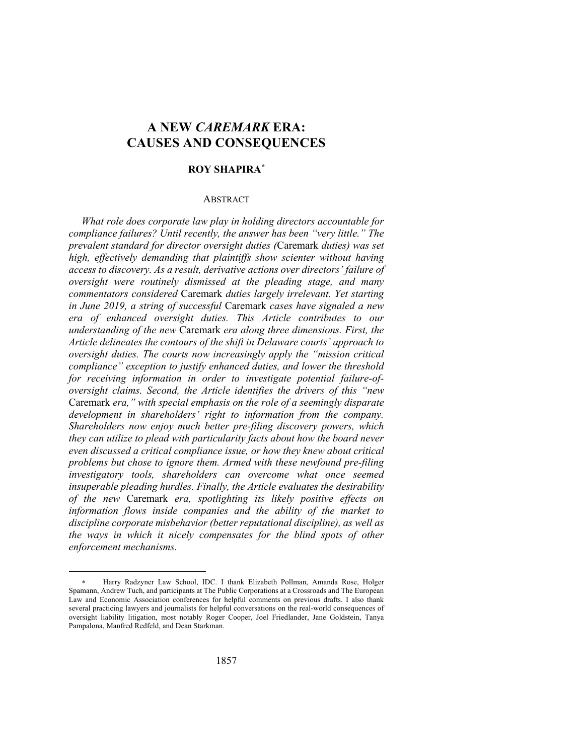# **A NEW** *CAREMARK* **ERA: CAUSES AND CONSEQUENCES**

# **ROY SHAPIRA***\**

## ABSTRACT

*What role does corporate law play in holding directors accountable for compliance failures? Until recently, the answer has been "very little." The prevalent standard for director oversight duties (*Caremark *duties) was set high, effectively demanding that plaintiffs show scienter without having access to discovery. As a result, derivative actions over directors' failure of oversight were routinely dismissed at the pleading stage, and many commentators considered* Caremark *duties largely irrelevant. Yet starting in June 2019, a string of successful* Caremark *cases have signaled a new era of enhanced oversight duties. This Article contributes to our understanding of the new* Caremark *era along three dimensions. First, the Article delineates the contours of the shift in Delaware courts' approach to oversight duties. The courts now increasingly apply the "mission critical compliance" exception to justify enhanced duties, and lower the threshold for receiving information in order to investigate potential failure-ofoversight claims. Second, the Article identifies the drivers of this "new*  Caremark *era," with special emphasis on the role of a seemingly disparate development in shareholders' right to information from the company. Shareholders now enjoy much better pre-filing discovery powers, which they can utilize to plead with particularity facts about how the board never even discussed a critical compliance issue, or how they knew about critical problems but chose to ignore them. Armed with these newfound pre-filing investigatory tools, shareholders can overcome what once seemed insuperable pleading hurdles. Finally, the Article evaluates the desirability of the new* Caremark *era, spotlighting its likely positive effects on information flows inside companies and the ability of the market to discipline corporate misbehavior (better reputational discipline), as well as the ways in which it nicely compensates for the blind spots of other enforcement mechanisms.*

<sup>\*</sup> Harry Radzyner Law School, IDC. I thank Elizabeth Pollman, Amanda Rose, Holger Spamann, Andrew Tuch, and participants at The Public Corporations at a Crossroads and The European Law and Economic Association conferences for helpful comments on previous drafts. I also thank several practicing lawyers and journalists for helpful conversations on the real-world consequences of oversight liability litigation, most notably Roger Cooper, Joel Friedlander, Jane Goldstein, Tanya Pampalona, Manfred Redfeld, and Dean Starkman.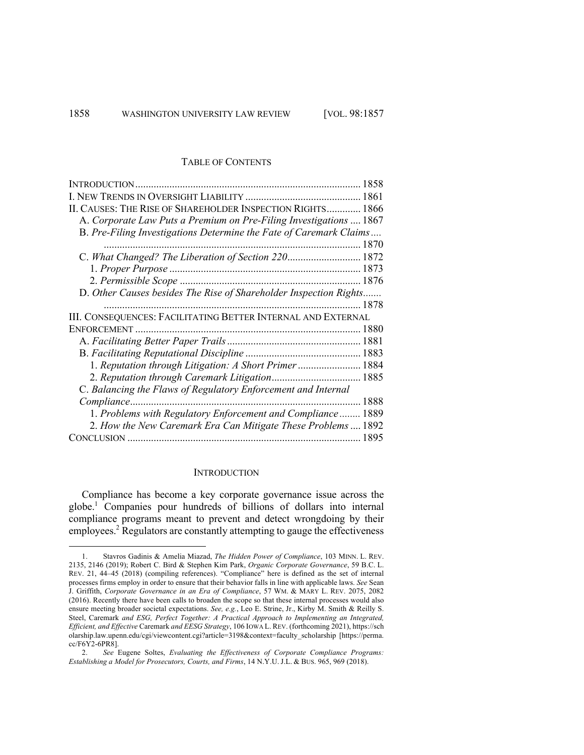#### TABLE OF CONTENTS

| INTRODUCTION                                                       |      |
|--------------------------------------------------------------------|------|
|                                                                    |      |
| II. CAUSES: THE RISE OF SHAREHOLDER INSPECTION RIGHTS 1866         |      |
| A. Corporate Law Puts a Premium on Pre-Filing Investigations  1867 |      |
| B. Pre-Filing Investigations Determine the Fate of Caremark Claims |      |
|                                                                    |      |
| C. What Changed? The Liberation of Section 220 1872                |      |
|                                                                    |      |
|                                                                    |      |
| D. Other Causes besides The Rise of Shareholder Inspection Rights  |      |
|                                                                    |      |
| III. CONSEQUENCES: FACILITATING BETTER INTERNAL AND EXTERNAL       |      |
| <b>ENFORCEMENT</b>                                                 |      |
|                                                                    |      |
|                                                                    |      |
| 1. Reputation through Litigation: A Short Primer 1884              |      |
| 2. Reputation through Caremark Litigation 1885                     |      |
| C. Balancing the Flaws of Regulatory Enforcement and Internal      |      |
| Compliance                                                         | 1888 |
| 1. Problems with Regulatory Enforcement and Compliance             | 1889 |
| 2. How the New Caremark Era Can Mitigate These Problems  1892      |      |
|                                                                    | 1895 |

# **INTRODUCTION**

Compliance has become a key corporate governance issue across the globe.1 Companies pour hundreds of billions of dollars into internal compliance programs meant to prevent and detect wrongdoing by their employees.<sup>2</sup> Regulators are constantly attempting to gauge the effectiveness

<sup>1.</sup> Stavros Gadinis & Amelia Miazad, *The Hidden Power of Compliance*, 103 MINN. L. REV. 2135, 2146 (2019); Robert C. Bird & Stephen Kim Park, *Organic Corporate Governance*, 59 B.C. L. REV. 21, 44–45 (2018) (compiling references). "Compliance" here is defined as the set of internal processes firms employ in order to ensure that their behavior falls in line with applicable laws. *See* Sean J. Griffith, *Corporate Governance in an Era of Compliance*, 57 WM. & MARY L. REV. 2075, 2082 (2016). Recently there have been calls to broaden the scope so that these internal processes would also ensure meeting broader societal expectations. *See, e.g.*, Leo E. Strine, Jr., Kirby M. Smith & Reilly S. Steel, Caremark *and ESG, Perfect Together: A Practical Approach to Implementing an Integrated, Efficient, and Effective* Caremark *and EESG Strategy*, 106 IOWA L. REV. (forthcoming 2021), https://sch olarship.law.upenn.edu/cgi/viewcontent.cgi?article=3198&context=faculty\_scholarship [https://perma. cc/F6Y2-6PR8].

<sup>2.</sup> *See* Eugene Soltes, *Evaluating the Effectiveness of Corporate Compliance Programs: Establishing a Model for Prosecutors, Courts, and Firms*, 14 N.Y.U. J.L. & BUS. 965, 969 (2018).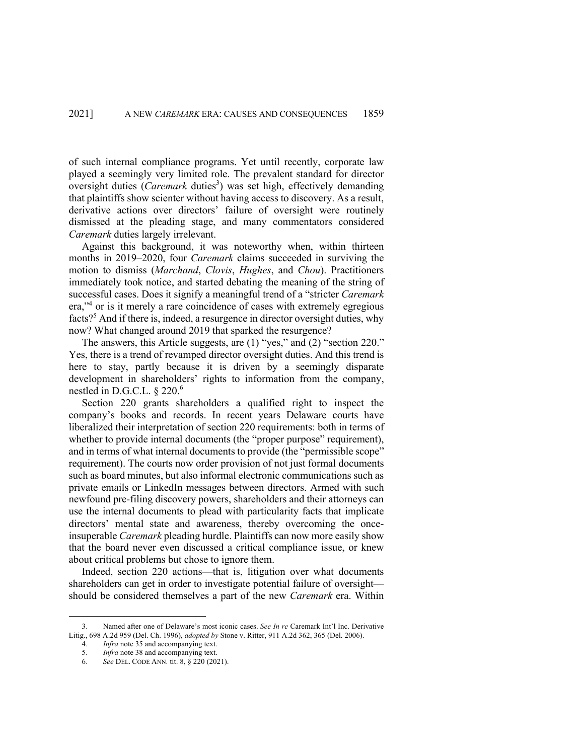of such internal compliance programs. Yet until recently, corporate law played a seemingly very limited role. The prevalent standard for director oversight duties (*Caremark* duties<sup>3</sup>) was set high, effectively demanding that plaintiffs show scienter without having access to discovery. As a result, derivative actions over directors' failure of oversight were routinely dismissed at the pleading stage, and many commentators considered *Caremark* duties largely irrelevant.

Against this background, it was noteworthy when, within thirteen months in 2019–2020, four *Caremark* claims succeeded in surviving the motion to dismiss (*Marchand*, *Clovis*, *Hughes*, and *Chou*). Practitioners immediately took notice, and started debating the meaning of the string of successful cases. Does it signify a meaningful trend of a "stricter *Caremark* era,"<sup>4</sup> or is it merely a rare coincidence of cases with extremely egregious facts?<sup>5</sup> And if there is, indeed, a resurgence in director oversight duties, why now? What changed around 2019 that sparked the resurgence?

The answers, this Article suggests, are (1) "yes," and (2) "section 220." Yes, there is a trend of revamped director oversight duties. And this trend is here to stay, partly because it is driven by a seemingly disparate development in shareholders' rights to information from the company, nestled in D.G.C.L. § 220. 6

Section 220 grants shareholders a qualified right to inspect the company's books and records. In recent years Delaware courts have liberalized their interpretation of section 220 requirements: both in terms of whether to provide internal documents (the "proper purpose" requirement), and in terms of what internal documents to provide (the "permissible scope" requirement). The courts now order provision of not just formal documents such as board minutes, but also informal electronic communications such as private emails or LinkedIn messages between directors. Armed with such newfound pre-filing discovery powers, shareholders and their attorneys can use the internal documents to plead with particularity facts that implicate directors' mental state and awareness, thereby overcoming the onceinsuperable *Caremark* pleading hurdle. Plaintiffs can now more easily show that the board never even discussed a critical compliance issue, or knew about critical problems but chose to ignore them.

Indeed, section 220 actions—that is, litigation over what documents shareholders can get in order to investigate potential failure of oversight should be considered themselves a part of the new *Caremark* era. Within

<sup>3.</sup> Named after one of Delaware's most iconic cases. *See In re* Caremark Int'l Inc. Derivative Litig., 698 A.2d 959 (Del. Ch. 1996), *adopted by* Stone v. Ritter, 911 A.2d 362, 365 (Del. 2006).

<sup>4.</sup> *Infra* note 35 and accompanying text.

<sup>5.</sup> *Infra* note 38 and accompanying text.

<sup>6.</sup> *See* DEL. CODE ANN. tit. 8, § 220 (2021).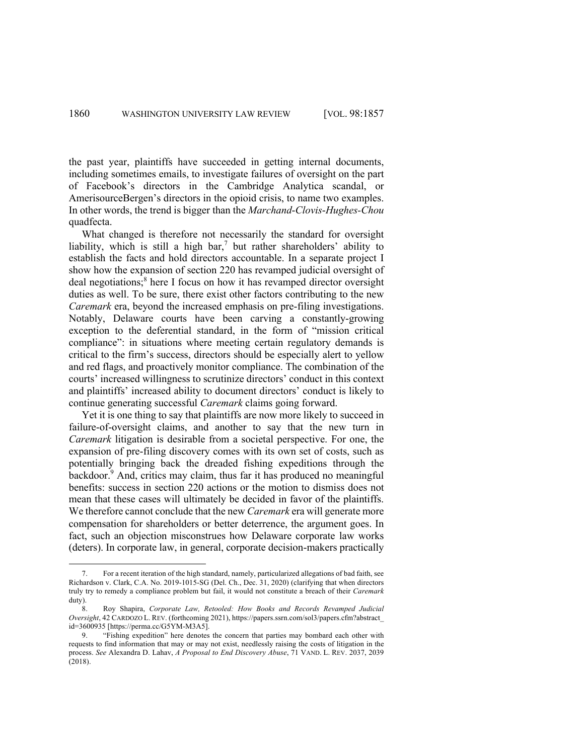the past year, plaintiffs have succeeded in getting internal documents, including sometimes emails, to investigate failures of oversight on the part of Facebook's directors in the Cambridge Analytica scandal, or AmerisourceBergen's directors in the opioid crisis, to name two examples. In other words, the trend is bigger than the *Marchand*-*Clovis*-*Hughes-Chou* quadfecta.

What changed is therefore not necessarily the standard for oversight liability, which is still a high bar,<sup>7</sup> but rather shareholders' ability to establish the facts and hold directors accountable. In a separate project I show how the expansion of section 220 has revamped judicial oversight of deal negotiations;<sup>8</sup> here I focus on how it has revamped director oversight duties as well. To be sure, there exist other factors contributing to the new *Caremark* era, beyond the increased emphasis on pre-filing investigations. Notably, Delaware courts have been carving a constantly-growing exception to the deferential standard, in the form of "mission critical compliance": in situations where meeting certain regulatory demands is critical to the firm's success, directors should be especially alert to yellow and red flags, and proactively monitor compliance. The combination of the courts' increased willingness to scrutinize directors' conduct in this context and plaintiffs' increased ability to document directors' conduct is likely to continue generating successful *Caremark* claims going forward.

Yet it is one thing to say that plaintiffs are now more likely to succeed in failure-of-oversight claims, and another to say that the new turn in *Caremark* litigation is desirable from a societal perspective. For one, the expansion of pre-filing discovery comes with its own set of costs, such as potentially bringing back the dreaded fishing expeditions through the backdoor.<sup>9</sup> And, critics may claim, thus far it has produced no meaningful benefits: success in section 220 actions or the motion to dismiss does not mean that these cases will ultimately be decided in favor of the plaintiffs. We therefore cannot conclude that the new *Caremark* era will generate more compensation for shareholders or better deterrence, the argument goes. In fact, such an objection misconstrues how Delaware corporate law works (deters). In corporate law, in general, corporate decision-makers practically

<sup>7.</sup> For a recent iteration of the high standard, namely, particularized allegations of bad faith, see Richardson v. Clark, C.A. No. 2019-1015-SG (Del. Ch., Dec. 31, 2020) (clarifying that when directors truly try to remedy a compliance problem but fail, it would not constitute a breach of their *Caremark* duty).

<sup>8.</sup> Roy Shapira, *Corporate Law, Retooled: How Books and Records Revamped Judicial Oversight*, 42 CARDOZO L. REV. (forthcoming 2021), https://papers.ssrn.com/sol3/papers.cfm?abstract\_ id=3600935 [https://perma.cc/G5YM-M3A5].

<sup>9.</sup> "Fishing expedition" here denotes the concern that parties may bombard each other with requests to find information that may or may not exist, needlessly raising the costs of litigation in the process. *See* Alexandra D. Lahav, *A Proposal to End Discovery Abuse*, 71 VAND. L. REV. 2037, 2039 (2018).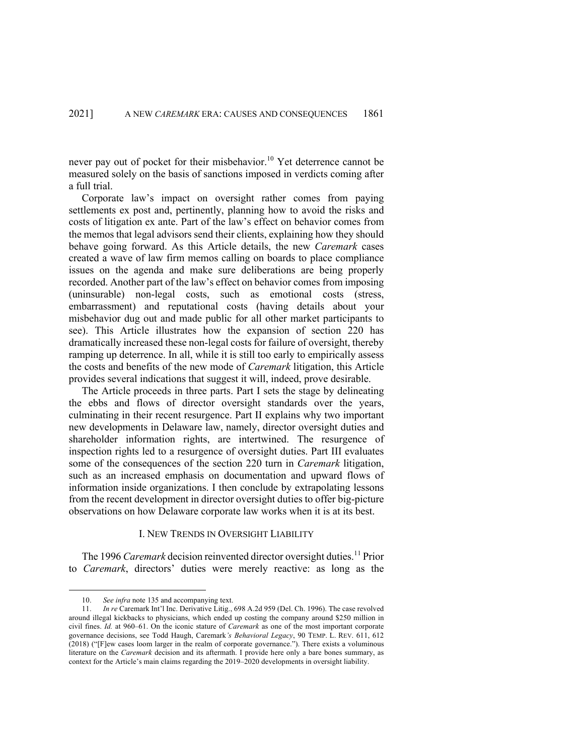never pay out of pocket for their misbehavior.<sup>10</sup> Yet deterrence cannot be measured solely on the basis of sanctions imposed in verdicts coming after a full trial.

Corporate law's impact on oversight rather comes from paying settlements ex post and, pertinently, planning how to avoid the risks and costs of litigation ex ante. Part of the law's effect on behavior comes from the memos that legal advisors send their clients, explaining how they should behave going forward. As this Article details, the new *Caremark* cases created a wave of law firm memos calling on boards to place compliance issues on the agenda and make sure deliberations are being properly recorded. Another part of the law's effect on behavior comes from imposing (uninsurable) non-legal costs, such as emotional costs (stress, embarrassment) and reputational costs (having details about your misbehavior dug out and made public for all other market participants to see). This Article illustrates how the expansion of section 220 has dramatically increased these non-legal costs for failure of oversight, thereby ramping up deterrence. In all, while it is still too early to empirically assess the costs and benefits of the new mode of *Caremark* litigation, this Article provides several indications that suggest it will, indeed, prove desirable.

The Article proceeds in three parts. Part I sets the stage by delineating the ebbs and flows of director oversight standards over the years, culminating in their recent resurgence. Part II explains why two important new developments in Delaware law, namely, director oversight duties and shareholder information rights, are intertwined. The resurgence of inspection rights led to a resurgence of oversight duties. Part III evaluates some of the consequences of the section 220 turn in *Caremark* litigation, such as an increased emphasis on documentation and upward flows of information inside organizations. I then conclude by extrapolating lessons from the recent development in director oversight duties to offer big-picture observations on how Delaware corporate law works when it is at its best.

## I. NEW TRENDS IN OVERSIGHT LIABILITY

The 1996 *Caremark* decision reinvented director oversight duties.<sup>11</sup> Prior to *Caremark*, directors' duties were merely reactive: as long as the

<sup>10.</sup> *See infra* note 135 and accompanying text.

<sup>11.</sup> *In re* Caremark Int'l Inc. Derivative Litig., 698 A.2d 959 (Del. Ch. 1996). The case revolved around illegal kickbacks to physicians, which ended up costing the company around \$250 million in civil fines. *Id.* at 960–61. On the iconic stature of *Caremark* as one of the most important corporate governance decisions, see Todd Haugh, Caremark*'s Behavioral Legacy*, 90 TEMP. L. REV. 611, 612 (2018) ("[F]ew cases loom larger in the realm of corporate governance."). There exists a voluminous literature on the *Caremark* decision and its aftermath. I provide here only a bare bones summary, as context for the Article's main claims regarding the 2019–2020 developments in oversight liability.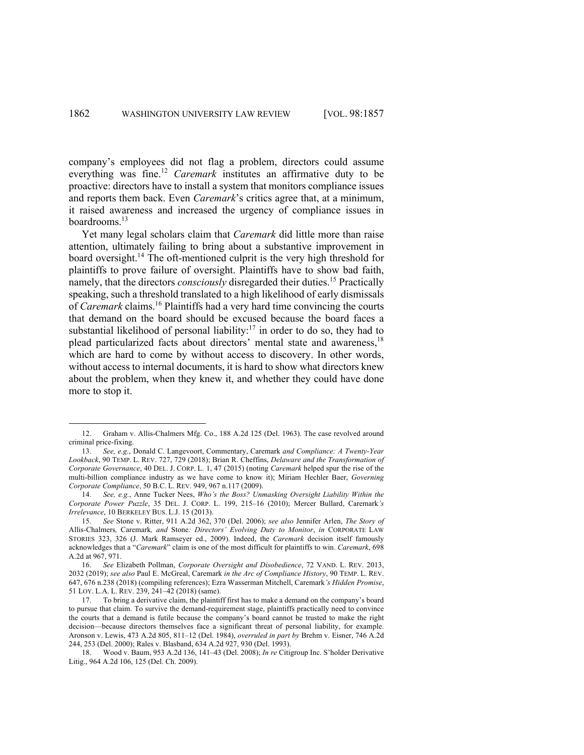company's employees did not flag a problem, directors could assume everything was fine.<sup>12</sup> *Caremark* institutes an affirmative duty to be proactive: directors have to install a system that monitors compliance issues and reports them back. Even *Caremark*'s critics agree that, at a minimum, it raised awareness and increased the urgency of compliance issues in boardrooms.13

Yet many legal scholars claim that *Caremark* did little more than raise attention, ultimately failing to bring about a substantive improvement in board oversight. <sup>14</sup> The oft-mentioned culprit is the very high threshold for plaintiffs to prove failure of oversight. Plaintiffs have to show bad faith, namely, that the directors *consciously* disregarded their duties. <sup>15</sup> Practically speaking, such a threshold translated to a high likelihood of early dismissals of *Caremark* claims. <sup>16</sup> Plaintiffs had a very hard time convincing the courts that demand on the board should be excused because the board faces a substantial likelihood of personal liability: $17$  in order to do so, they had to plead particularized facts about directors' mental state and awareness,<sup>18</sup> which are hard to come by without access to discovery. In other words, without access to internal documents, it is hard to show what directors knew about the problem, when they knew it, and whether they could have done more to stop it.

<sup>12.</sup> Graham v. Allis-Chalmers Mfg. Co., 188 A.2d 125 (Del. 1963). The case revolved around criminal price-fixing.

<sup>13.</sup> *See, e.g.*, Donald C. Langevoort, Commentary, Caremark *and Compliance: A Twenty-Year Lookback*, 90 TEMP. L. REV. 727, 729 (2018); Brian R. Cheffins, *Delaware and the Transformation of Corporate Governance*, 40 DEL. J. CORP. L. 1, 47 (2015) (noting *Caremark* helped spur the rise of the multi-billion compliance industry as we have come to know it); Miriam Hechler Baer, *Governing Corporate Compliance*, 50 B.C. L. REV. 949, 967 n.117 (2009).

<sup>14.</sup> *See, e.g.*, Anne Tucker Nees, *Who's the Boss? Unmasking Oversight Liability Within the Corporate Power Puzzle*, 35 DEL. J. CORP. L. 199, 215–16 (2010); Mercer Bullard, Caremark*'s Irrelevance*, 10 BERKELEY BUS. L.J. 15 (2013).

<sup>15.</sup> *See* Stone v. Ritter, 911 A.2d 362, 370 (Del. 2006); *see also* Jennifer Arlen, *The Story of*  Allis-Chalmers*,* Caremark*, and* Stone*: Directors' Evolving Duty to Monitor*, *in* CORPORATE LAW STORIES 323, 326 (J. Mark Ramseyer ed., 2009). Indeed, the *Caremark* decision itself famously acknowledges that a "*Caremark*" claim is one of the most difficult for plaintiffs to win. *Caremark*, 698 A.2d at 967, 971.

<sup>16.</sup> *See* Elizabeth Pollman, *Corporate Oversight and Disobedience*, 72 VAND. L. REV. 2013, 2032 (2019); *see also* Paul E. McGreal, Caremark *in the Arc of Compliance History*, 90 TEMP. L. REV. 647, 676 n.238 (2018) (compiling references); Ezra Wasserman Mitchell, Caremark*'s Hidden Promise*, 51 LOY. L.A. L. REV. 239, 241–42 (2018) (same).

<sup>17.</sup> To bring a derivative claim, the plaintiff first has to make a demand on the company's board to pursue that claim. To survive the demand-requirement stage, plaintiffs practically need to convince the courts that a demand is futile because the company's board cannot be trusted to make the right decision—because directors themselves face a significant threat of personal liability, for example. Aronson v. Lewis, 473 A.2d 805, 811–12 (Del. 1984), *overruled in part by* Brehm v. Eisner, 746 A.2d 244, 253 (Del. 2000); Rales v. Blasband, 634 A.2d 927, 930 (Del. 1993).

<sup>18.</sup> Wood v. Baum, 953 A.2d 136, 141–43 (Del. 2008); *In re* Citigroup Inc. S'holder Derivative Litig., 964 A.2d 106, 125 (Del. Ch. 2009).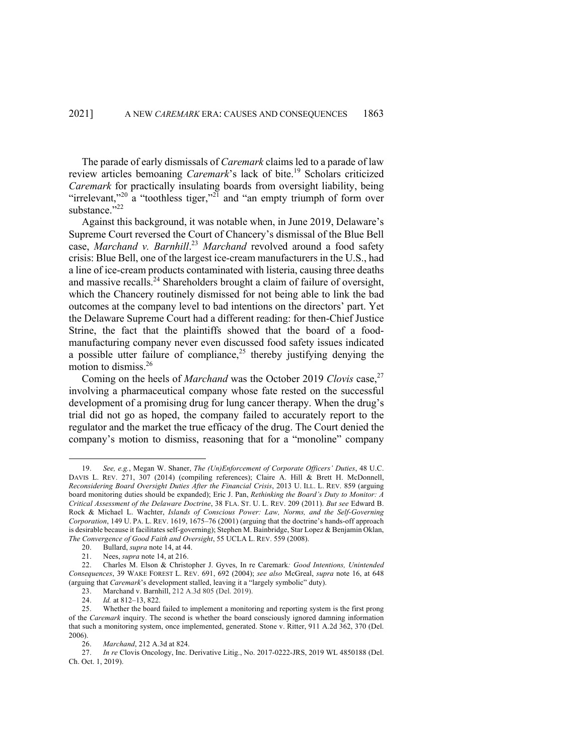The parade of early dismissals of *Caremark* claims led to a parade of law review articles bemoaning *Caremark*'s lack of bite. <sup>19</sup> Scholars criticized *Caremark* for practically insulating boards from oversight liability, being "irrelevant,"<sup>20</sup> a "toothless tiger,"<sup>21</sup> and "an empty triumph of form over substance."22

Against this background, it was notable when, in June 2019, Delaware's Supreme Court reversed the Court of Chancery's dismissal of the Blue Bell case, *Marchand v. Barnhill*. <sup>23</sup> *Marchand* revolved around a food safety crisis: Blue Bell, one of the largest ice-cream manufacturers in the U.S., had a line of ice-cream products contaminated with listeria, causing three deaths and massive recalls.<sup>24</sup> Shareholders brought a claim of failure of oversight, which the Chancery routinely dismissed for not being able to link the bad outcomes at the company level to bad intentions on the directors' part. Yet the Delaware Supreme Court had a different reading: for then-Chief Justice Strine, the fact that the plaintiffs showed that the board of a foodmanufacturing company never even discussed food safety issues indicated a possible utter failure of compliance,<sup>25</sup> thereby justifying denying the motion to dismiss.26

Coming on the heels of *Marchand* was the October 2019 *Clovis* case,<sup>27</sup> involving a pharmaceutical company whose fate rested on the successful development of a promising drug for lung cancer therapy. When the drug's trial did not go as hoped, the company failed to accurately report to the regulator and the market the true efficacy of the drug. The Court denied the company's motion to dismiss, reasoning that for a "monoline" company

<sup>19.</sup> *See, e.g.*, Megan W. Shaner, *The (Un)Enforcement of Corporate Officers' Duties*, 48 U.C. DAVIS L. REV. 271, 307 (2014) (compiling references); Claire A. Hill & Brett H. McDonnell, *Reconsidering Board Oversight Duties After the Financial Crisis*, 2013 U. ILL. L. REV. 859 (arguing board monitoring duties should be expanded); Eric J. Pan, *Rethinking the Board's Duty to Monitor: A Critical Assessment of the Delaware Doctrine*, 38 FLA. ST. U. L. REV. 209 (2011). *But see* Edward B. Rock & Michael L. Wachter, *Islands of Conscious Power: Law, Norms, and the Self-Governing Corporation*, 149 U. PA. L. REV. 1619, 1675–76 (2001) (arguing that the doctrine's hands-off approach is desirable because it facilitates self-governing); Stephen M. Bainbridge, Star Lopez & Benjamin Oklan, *The Convergence of Good Faith and Oversight*, 55 UCLA L. REV. 559 (2008).

<sup>20.</sup> Bullard, *supra* note 14, at 44.

<sup>21.</sup> Nees, *supra* note 14, at 216.

<sup>22.</sup> Charles M. Elson & Christopher J. Gyves, In re Caremark*: Good Intentions, Unintended Consequences*, 39 WAKE FOREST L. REV. 691, 692 (2004); *see also* McGreal, *supra* note 16, at 648 (arguing that *Caremark*'s development stalled, leaving it a "largely symbolic" duty).

<sup>23.</sup> Marchand v. Barnhill, 212 A.3d 805 (Del. 2019).

<sup>24.</sup> *Id.* at 812–13, 822.

<sup>25.</sup> Whether the board failed to implement a monitoring and reporting system is the first prong of the *Caremark* inquiry. The second is whether the board consciously ignored damning information that such a monitoring system, once implemented, generated. Stone v. Ritter, 911 A.2d 362, 370 (Del. 2006).

<sup>26.</sup> *Marchand*, 212 A.3d at 824.

<sup>27.</sup> *In re* Clovis Oncology, Inc. Derivative Litig., No. 2017-0222-JRS, 2019 WL 4850188 (Del. Ch. Oct. 1, 2019).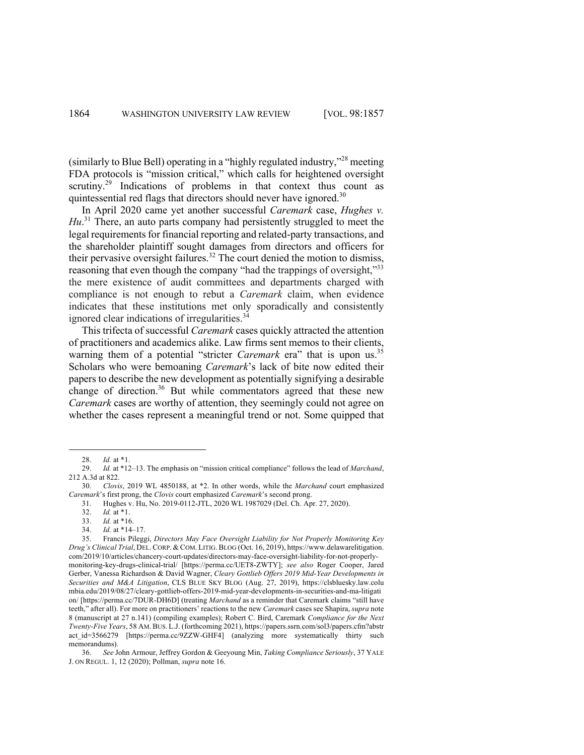(similarly to Blue Bell) operating in a "highly regulated industry,"<sup>28</sup> meeting FDA protocols is "mission critical," which calls for heightened oversight scrutiny.<sup>29</sup> Indications of problems in that context thus count as quintessential red flags that directors should never have ignored.<sup>30</sup>

In April 2020 came yet another successful *Caremark* case, *Hughes v.*  Hu.<sup>31</sup> There, an auto parts company had persistently struggled to meet the legal requirements for financial reporting and related-party transactions, and the shareholder plaintiff sought damages from directors and officers for their pervasive oversight failures.<sup>32</sup> The court denied the motion to dismiss, reasoning that even though the company "had the trappings of oversight,"<sup>33</sup> the mere existence of audit committees and departments charged with compliance is not enough to rebut a *Caremark* claim, when evidence indicates that these institutions met only sporadically and consistently ignored clear indications of irregularities.<sup>34</sup>

This trifecta of successful *Caremark* cases quickly attracted the attention of practitioners and academics alike. Law firms sent memos to their clients, warning them of a potential "stricter *Caremark* era" that is upon us.<sup>35</sup> Scholars who were bemoaning *Caremark*'s lack of bite now edited their papers to describe the new development as potentially signifying a desirable change of direction.<sup>36</sup> But while commentators agreed that these new *Caremark* cases are worthy of attention, they seemingly could not agree on whether the cases represent a meaningful trend or not. Some quipped that

<sup>28.</sup> *Id.* at \*1.

<sup>29.</sup> *Id.* at \*12–13. The emphasis on "mission critical compliance" follows the lead of *Marchand*, 212 A.3d at 822.

<sup>30.</sup> *Clovis*, 2019 WL 4850188, at \*2. In other words, while the *Marchand* court emphasized *Caremark*'s first prong, the *Clovis* court emphasized *Caremark*'s second prong.

<sup>31.</sup> Hughes v. Hu, No. 2019-0112-JTL, 2020 WL 1987029 (Del. Ch. Apr. 27, 2020).

<sup>32.</sup> *Id.* at \*1.

<sup>33.</sup> *Id.* at \*16.

<sup>34.</sup> *Id.* at \*14–17.

<sup>35.</sup> Francis Pileggi, *Directors May Face Oversight Liability for Not Properly Monitoring Key Drug's Clinical Trial*, DEL. CORP. & COM. LITIG. BLOG (Oct. 16, 2019), https://www.delawarelitigation. com/2019/10/articles/chancery-court-updates/directors-may-face-oversight-liability-for-not-properlymonitoring-key-drugs-clinical-trial/ [https://perma.cc/UET8-ZWTY]; *see also* Roger Cooper, Jared Gerber, Vanessa Richardson & David Wagner, *Cleary Gottlieb Offers 2019 Mid-Year Developments in Securities and M&A Litigation*, CLS BLUE SKY BLOG (Aug. 27, 2019), https://clsbluesky.law.colu mbia.edu/2019/08/27/cleary-gottlieb-offers-2019-mid-year-developments-in-securities-and-ma-litigati on/ [https://perma.cc/7DUR-DH6D] (treating *Marchand* as a reminder that Caremark claims "still have teeth," after all). For more on practitioners' reactions to the new *Caremark* cases see Shapira, *supra* note 8 (manuscript at 27 n.141) (compiling examples); Robert C. Bird, Caremark *Compliance for the Next Twenty-Five Years*, 58 AM. BUS. L.J. (forthcoming 2021), https://papers.ssrn.com/sol3/papers.cfm?abstr act\_id=3566279 [https://perma.cc/9ZZW-GHF4] (analyzing more systematically thirty such memorandums).

<sup>36.</sup> *See* John Armour, Jeffrey Gordon & Geeyoung Min, *Taking Compliance Seriously*, 37 YALE J. ON REGUL. 1, 12 (2020); Pollman, *supra* note 16.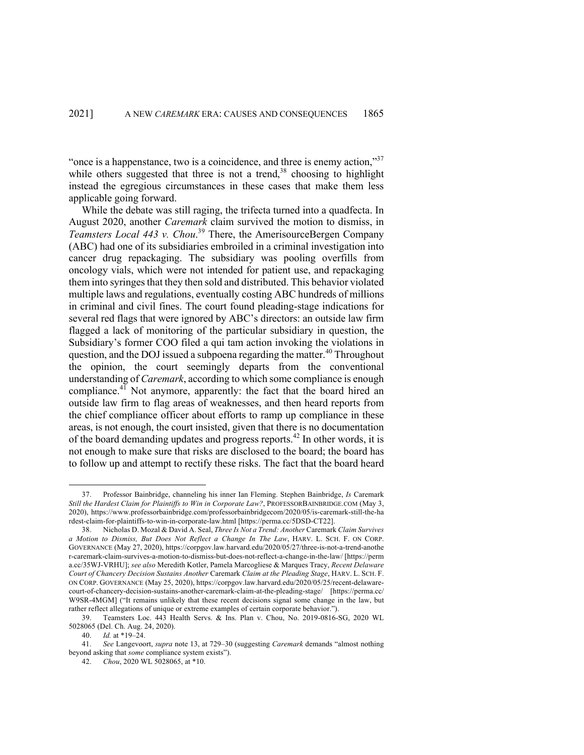"once is a happenstance, two is a coincidence, and three is enemy action," $37$ while others suggested that three is not a trend,<sup>38</sup> choosing to highlight instead the egregious circumstances in these cases that make them less applicable going forward.

While the debate was still raging, the trifecta turned into a quadfecta. In August 2020, another *Caremark* claim survived the motion to dismiss, in *Teamsters Local 443 v. Chou*. <sup>39</sup> There, the AmerisourceBergen Company (ABC) had one of its subsidiaries embroiled in a criminal investigation into cancer drug repackaging. The subsidiary was pooling overfills from oncology vials, which were not intended for patient use, and repackaging them into syringes that they then sold and distributed. This behavior violated multiple laws and regulations, eventually costing ABC hundreds of millions in criminal and civil fines. The court found pleading-stage indications for several red flags that were ignored by ABC's directors: an outside law firm flagged a lack of monitoring of the particular subsidiary in question, the Subsidiary's former COO filed a qui tam action invoking the violations in question, and the DOJ issued a subpoena regarding the matter.<sup>40</sup> Throughout the opinion, the court seemingly departs from the conventional understanding of *Caremark*, according to which some compliance is enough compliance.<sup>41</sup> Not anymore, apparently: the fact that the board hired an outside law firm to flag areas of weaknesses, and then heard reports from the chief compliance officer about efforts to ramp up compliance in these areas, is not enough, the court insisted, given that there is no documentation of the board demanding updates and progress reports.<sup>42</sup> In other words, it is not enough to make sure that risks are disclosed to the board; the board has to follow up and attempt to rectify these risks. The fact that the board heard

<sup>37.</sup> Professor Bainbridge, channeling his inner Ian Fleming. Stephen Bainbridge, *Is* Caremark *Still the Hardest Claim for Plaintiffs to Win in Corporate Law?*, PROFESSORBAINBRIDGE.COM (May 3, 2020), https://www.professorbainbridge.com/professorbainbridgecom/2020/05/is-caremark-still-the-ha rdest-claim-for-plaintiffs-to-win-in-corporate-law.html [https://perma.cc/5DSD-CT22].

<sup>38.</sup> Nicholas D. Mozal & David A. Seal, *Three Is Not a Trend: Another* Caremark *Claim Survives a Motion to Dismiss, But Does Not Reflect a Change In The Law*, HARV. L. SCH. F. ON CORP. GOVERNANCE (May 27, 2020), https://corpgov.law.harvard.edu/2020/05/27/three-is-not-a-trend-anothe r-caremark-claim-survives-a-motion-to-dismiss-but-does-not-reflect-a-change-in-the-law/ [https://perm a.cc/35WJ-VRHU]; *see also* Meredith Kotler, Pamela Marcogliese & Marques Tracy, *Recent Delaware Court of Chancery Decision Sustains Another* Caremark *Claim at the Pleading Stage*, HARV. L. SCH. F. ON CORP. GOVERNANCE (May 25, 2020), https://corpgov.law.harvard.edu/2020/05/25/recent-delawarecourt-of-chancery-decision-sustains-another-caremark-claim-at-the-pleading-stage/ [https://perma.cc/ W9SR-4MGM] ("It remains unlikely that these recent decisions signal some change in the law, but rather reflect allegations of unique or extreme examples of certain corporate behavior.").

<sup>39.</sup> Teamsters Loc. 443 Health Servs. & Ins. Plan v. Chou, No. 2019-0816-SG, 2020 WL 5028065 (Del. Ch. Aug. 24, 2020).

<sup>40.</sup> *Id.* at \*19–24.

<sup>41.</sup> *See* Langevoort, *supra* note 13, at 729–30 (suggesting *Caremark* demands "almost nothing beyond asking that *some* compliance system exists").

<sup>42.</sup> *Chou*, 2020 WL 5028065, at \*10.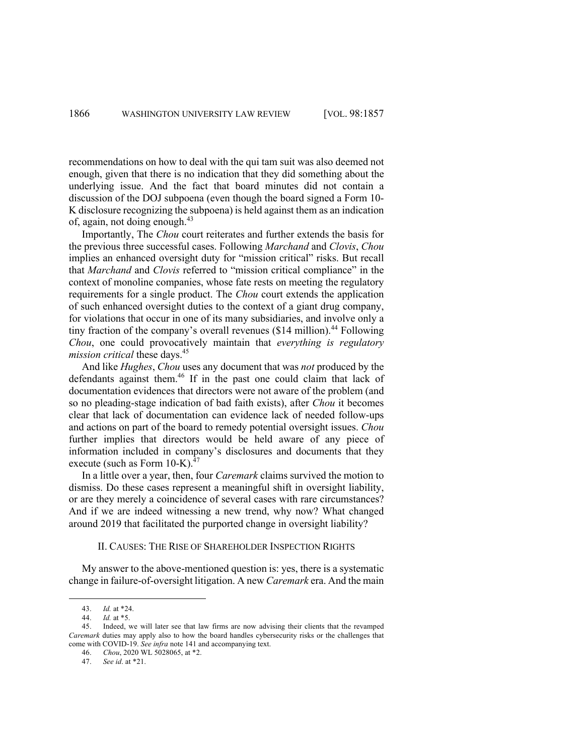recommendations on how to deal with the qui tam suit was also deemed not enough, given that there is no indication that they did something about the underlying issue. And the fact that board minutes did not contain a discussion of the DOJ subpoena (even though the board signed a Form 10- K disclosure recognizing the subpoena) is held against them as an indication of, again, not doing enough.<sup>43</sup>

Importantly, The *Chou* court reiterates and further extends the basis for the previous three successful cases. Following *Marchand* and *Clovis*, *Chou* implies an enhanced oversight duty for "mission critical" risks. But recall that *Marchand* and *Clovis* referred to "mission critical compliance" in the context of monoline companies, whose fate rests on meeting the regulatory requirements for a single product. The *Chou* court extends the application of such enhanced oversight duties to the context of a giant drug company, for violations that occur in one of its many subsidiaries, and involve only a tiny fraction of the company's overall revenues (\$14 million). <sup>44</sup> Following *Chou*, one could provocatively maintain that *everything is regulatory mission critical* these days.<sup>45</sup>

And like *Hughes*, *Chou* uses any document that was *not* produced by the defendants against them.<sup>46</sup> If in the past one could claim that lack of documentation evidences that directors were not aware of the problem (and so no pleading-stage indication of bad faith exists), after *Chou* it becomes clear that lack of documentation can evidence lack of needed follow-ups and actions on part of the board to remedy potential oversight issues. *Chou* further implies that directors would be held aware of any piece of information included in company's disclosures and documents that they execute (such as Form  $10-K$ ).<sup>47</sup>

In a little over a year, then, four *Caremark* claims survived the motion to dismiss. Do these cases represent a meaningful shift in oversight liability, or are they merely a coincidence of several cases with rare circumstances? And if we are indeed witnessing a new trend, why now? What changed around 2019 that facilitated the purported change in oversight liability?

#### II. CAUSES: THE RISE OF SHAREHOLDER INSPECTION RIGHTS

My answer to the above-mentioned question is: yes, there is a systematic change in failure-of-oversight litigation. A new *Caremark* era. And the main

47. *See id*. at \*21.

<sup>43.</sup> *Id.* at \*24.

*Id.* at \*5.

<sup>45.</sup> Indeed, we will later see that law firms are now advising their clients that the revamped *Caremark* duties may apply also to how the board handles cybersecurity risks or the challenges that come with COVID-19. *See infra* note 141 and accompanying text.

<sup>46.</sup> *Chou*, 2020 WL 5028065, at \*2.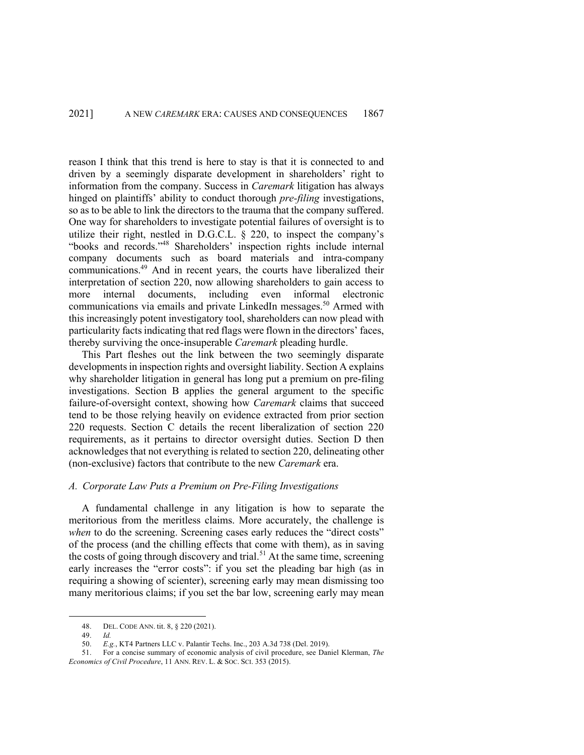reason I think that this trend is here to stay is that it is connected to and driven by a seemingly disparate development in shareholders' right to information from the company. Success in *Caremark* litigation has always hinged on plaintiffs' ability to conduct thorough *pre-filing* investigations, so as to be able to link the directors to the trauma that the company suffered. One way for shareholders to investigate potential failures of oversight is to utilize their right, nestled in D.G.C.L. § 220, to inspect the company's "books and records."48 Shareholders' inspection rights include internal company documents such as board materials and intra-company communications.49 And in recent years, the courts have liberalized their interpretation of section 220, now allowing shareholders to gain access to more internal documents, including even informal electronic communications via emails and private LinkedIn messages.<sup>50</sup> Armed with this increasingly potent investigatory tool, shareholders can now plead with particularity facts indicating that red flags were flown in the directors' faces, thereby surviving the once-insuperable *Caremark* pleading hurdle.

This Part fleshes out the link between the two seemingly disparate developments in inspection rights and oversight liability. Section A explains why shareholder litigation in general has long put a premium on pre-filing investigations. Section B applies the general argument to the specific failure-of-oversight context, showing how *Caremark* claims that succeed tend to be those relying heavily on evidence extracted from prior section 220 requests. Section C details the recent liberalization of section 220 requirements, as it pertains to director oversight duties. Section D then acknowledges that not everything is related to section 220, delineating other (non-exclusive) factors that contribute to the new *Caremark* era.

#### *A. Corporate Law Puts a Premium on Pre-Filing Investigations*

A fundamental challenge in any litigation is how to separate the meritorious from the meritless claims. More accurately, the challenge is *when* to do the screening. Screening cases early reduces the "direct costs" of the process (and the chilling effects that come with them), as in saving the costs of going through discovery and trial.<sup>51</sup> At the same time, screening early increases the "error costs": if you set the pleading bar high (as in requiring a showing of scienter), screening early may mean dismissing too many meritorious claims; if you set the bar low, screening early may mean

<sup>48.</sup> DEL. CODE ANN. tit. 8, § 220 (2021).

<sup>49.</sup> *Id.* 

<sup>50.</sup> *E.g.*, KT4 Partners LLC v. Palantir Techs. Inc., 203 A.3d 738 (Del. 2019).

<sup>51.</sup> For a concise summary of economic analysis of civil procedure, see Daniel Klerman, *The Economics of Civil Procedure*, 11 ANN. REV. L. & SOC. SCI. 353 (2015).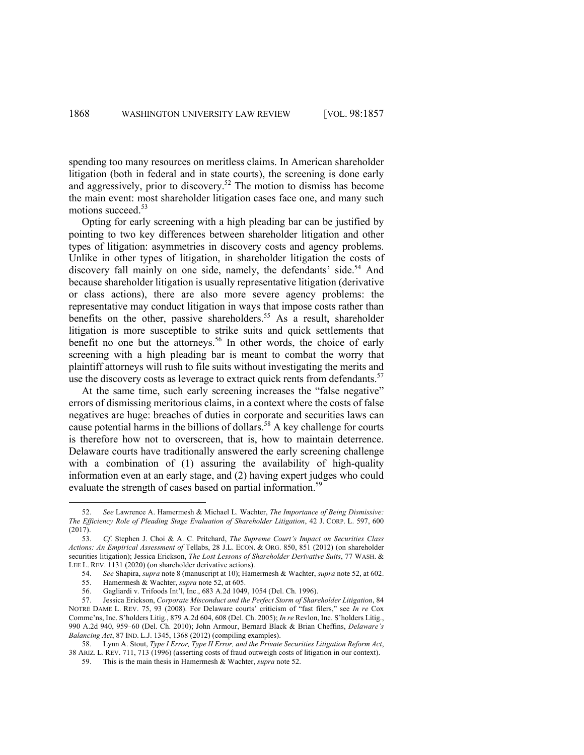spending too many resources on meritless claims. In American shareholder litigation (both in federal and in state courts), the screening is done early and aggressively, prior to discovery.<sup>52</sup> The motion to dismiss has become the main event: most shareholder litigation cases face one, and many such motions succeed.<sup>53</sup>

Opting for early screening with a high pleading bar can be justified by pointing to two key differences between shareholder litigation and other types of litigation: asymmetries in discovery costs and agency problems. Unlike in other types of litigation, in shareholder litigation the costs of discovery fall mainly on one side, namely, the defendants' side.<sup>54</sup> And because shareholder litigation is usually representative litigation (derivative or class actions), there are also more severe agency problems: the representative may conduct litigation in ways that impose costs rather than benefits on the other, passive shareholders.<sup>55</sup> As a result, shareholder litigation is more susceptible to strike suits and quick settlements that benefit no one but the attorneys.<sup>56</sup> In other words, the choice of early screening with a high pleading bar is meant to combat the worry that plaintiff attorneys will rush to file suits without investigating the merits and use the discovery costs as leverage to extract quick rents from defendants.<sup>57</sup>

At the same time, such early screening increases the "false negative" errors of dismissing meritorious claims, in a context where the costs of false negatives are huge: breaches of duties in corporate and securities laws can cause potential harms in the billions of dollars.<sup>58</sup> A key challenge for courts is therefore how not to overscreen, that is, how to maintain deterrence. Delaware courts have traditionally answered the early screening challenge with a combination of (1) assuring the availability of high-quality information even at an early stage, and (2) having expert judges who could evaluate the strength of cases based on partial information.<sup>59</sup>

<sup>52.</sup> *See* Lawrence A. Hamermesh & Michael L. Wachter, *The Importance of Being Dismissive: The Efficiency Role of Pleading Stage Evaluation of Shareholder Litigation*, 42 J. CORP. L. 597, 600 (2017).

<sup>53.</sup> *Cf*. Stephen J. Choi & A. C. Pritchard, *The Supreme Court's Impact on Securities Class Actions: An Empirical Assessment of* Tellabs, 28 J.L. ECON. & ORG. 850, 851 (2012) (on shareholder securities litigation); Jessica Erickson, *The Lost Lessons of Shareholder Derivative Suits*, 77 WASH. & LEE L. REV. 1131 (2020) (on shareholder derivative actions).

<sup>54.</sup> *See* Shapira, *supra* note 8 (manuscript at 10); Hamermesh & Wachter, *supra* note 52, at 602.

<sup>55.</sup> Hamermesh & Wachter, *supra* note 52, at 605.

<sup>56.</sup> Gagliardi v. Trifoods Int'l, Inc., 683 A.2d 1049, 1054 (Del. Ch. 1996).

<sup>57.</sup> Jessica Erickson, *Corporate Misconduct and the Perfect Storm of Shareholder Litigation*, 84 NOTRE DAME L. REV. 75, 93 (2008). For Delaware courts' criticism of "fast filers," see *In re* Cox Commc'ns, Inc. S'holders Litig., 879 A.2d 604, 608 (Del. Ch. 2005); *In re* Revlon, Inc. S'holders Litig., 990 A.2d 940, 959–60 (Del. Ch. 2010); John Armour, Bernard Black & Brian Cheffins, *Delaware's Balancing Act*, 87 IND. L.J. 1345, 1368 (2012) (compiling examples).

<sup>58.</sup> Lynn A. Stout, *Type I Error, Type II Error, and the Private Securities Litigation Reform Act*, 38 ARIZ. L. REV. 711, 713 (1996) (asserting costs of fraud outweigh costs of litigation in our context).

<sup>59.</sup> This is the main thesis in Hamermesh & Wachter, *supra* note 52.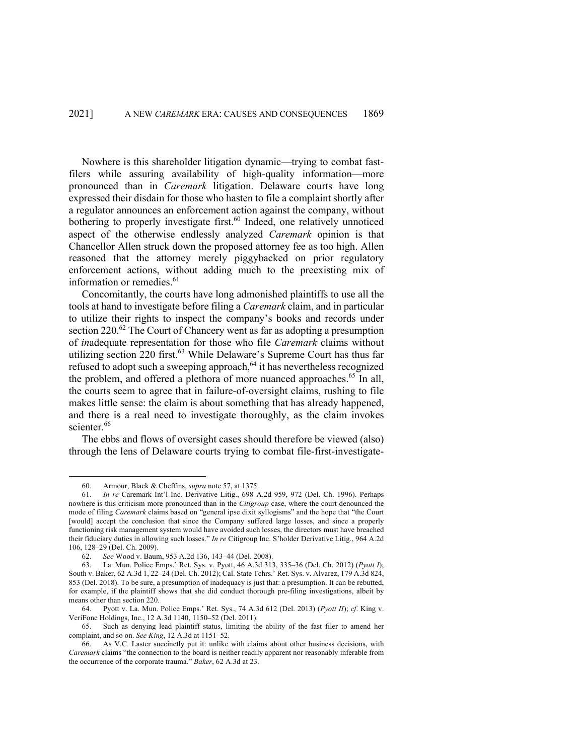Nowhere is this shareholder litigation dynamic—trying to combat fastfilers while assuring availability of high-quality information—more pronounced than in *Caremark* litigation. Delaware courts have long expressed their disdain for those who hasten to file a complaint shortly after a regulator announces an enforcement action against the company, without bothering to properly investigate first. <sup>60</sup> Indeed, one relatively unnoticed aspect of the otherwise endlessly analyzed *Caremark* opinion is that Chancellor Allen struck down the proposed attorney fee as too high. Allen reasoned that the attorney merely piggybacked on prior regulatory enforcement actions, without adding much to the preexisting mix of information or remedies. 61

Concomitantly, the courts have long admonished plaintiffs to use all the tools at hand to investigate before filing a *Caremark* claim, and in particular to utilize their rights to inspect the company's books and records under section 220.<sup>62</sup> The Court of Chancery went as far as adopting a presumption of *in*adequate representation for those who file *Caremark* claims without utilizing section 220 first.<sup>63</sup> While Delaware's Supreme Court has thus far refused to adopt such a sweeping approach, $64$  it has nevertheless recognized the problem, and offered a plethora of more nuanced approaches.<sup>65</sup> In all, the courts seem to agree that in failure-of-oversight claims, rushing to file makes little sense: the claim is about something that has already happened, and there is a real need to investigate thoroughly, as the claim invokes scienter.<sup>66</sup>

The ebbs and flows of oversight cases should therefore be viewed (also) through the lens of Delaware courts trying to combat file-first-investigate-

<sup>60.</sup> Armour, Black & Cheffins, *supra* note 57, at 1375.

<sup>61.</sup> *In re* Caremark Int'l Inc. Derivative Litig., 698 A.2d 959, 972 (Del. Ch. 1996). Perhaps nowhere is this criticism more pronounced than in the *Citigroup* case, where the court denounced the mode of filing *Caremark* claims based on "general ipse dixit syllogisms" and the hope that "the Court [would] accept the conclusion that since the Company suffered large losses, and since a properly functioning risk management system would have avoided such losses, the directors must have breached their fiduciary duties in allowing such losses." *In re* Citigroup Inc. S'holder Derivative Litig., 964 A.2d 106, 128–29 (Del. Ch. 2009).

<sup>62.</sup> *See* Wood v. Baum, 953 A.2d 136, 143–44 (Del. 2008).

<sup>63.</sup> La. Mun. Police Emps.' Ret. Sys. v. Pyott, 46 A.3d 313, 335–36 (Del. Ch. 2012) (*Pyott I*); South v. Baker, 62 A.3d 1, 22–24 (Del. Ch. 2012); Cal. State Tchrs.' Ret. Sys. v. Alvarez, 179 A.3d 824, 853 (Del. 2018). To be sure, a presumption of inadequacy is just that: a presumption. It can be rebutted, for example, if the plaintiff shows that she did conduct thorough pre-filing investigations, albeit by means other than section 220.

<sup>64.</sup> Pyott v. La. Mun. Police Emps.' Ret. Sys., 74 A.3d 612 (Del. 2013) (*Pyott II*); *cf*. King v. VeriFone Holdings, Inc., 12 A.3d 1140, 1150–52 (Del. 2011).

<sup>65.</sup> Such as denying lead plaintiff status, limiting the ability of the fast filer to amend her complaint, and so on. *See King*, 12 A.3d at 1151–52.

<sup>66.</sup> As V.C. Laster succinctly put it: unlike with claims about other business decisions, with *Caremark* claims "the connection to the board is neither readily apparent nor reasonably inferable from the occurrence of the corporate trauma." *Baker*, 62 A.3d at 23.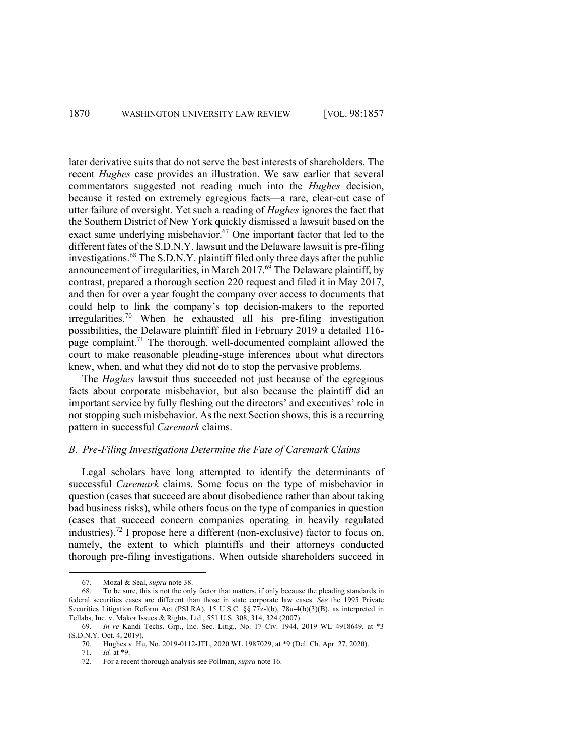later derivative suits that do not serve the best interests of shareholders. The recent *Hughes* case provides an illustration. We saw earlier that several commentators suggested not reading much into the *Hughes* decision, because it rested on extremely egregious facts—a rare, clear-cut case of utter failure of oversight. Yet such a reading of *Hughes* ignores the fact that the Southern District of New York quickly dismissed a lawsuit based on the exact same underlying misbehavior.<sup>67</sup> One important factor that led to the different fates of the S.D.N.Y. lawsuit and the Delaware lawsuit is pre-filing investigations.<sup>68</sup> The S.D.N.Y. plaintiff filed only three days after the public announcement of irregularities, in March  $2017<sup>69</sup>$  The Delaware plaintiff, by contrast, prepared a thorough section 220 request and filed it in May 2017, and then for over a year fought the company over access to documents that could help to link the company's top decision-makers to the reported  $irregularities.<sup>70</sup>$  When he exhausted all his pre-filing investigation possibilities, the Delaware plaintiff filed in February 2019 a detailed 116 page complaint.<sup>71</sup> The thorough, well-documented complaint allowed the court to make reasonable pleading-stage inferences about what directors knew, when, and what they did not do to stop the pervasive problems.

The *Hughes* lawsuit thus succeeded not just because of the egregious facts about corporate misbehavior, but also because the plaintiff did an important service by fully fleshing out the directors' and executives' role in not stopping such misbehavior. As the next Section shows, this is a recurring pattern in successful *Caremark* claims.

## *B. Pre-Filing Investigations Determine the Fate of Caremark Claims*

Legal scholars have long attempted to identify the determinants of successful *Caremark* claims. Some focus on the type of misbehavior in question (cases that succeed are about disobedience rather than about taking bad business risks), while others focus on the type of companies in question (cases that succeed concern companies operating in heavily regulated industries).<sup>72</sup> I propose here a different (non-exclusive) factor to focus on, namely, the extent to which plaintiffs and their attorneys conducted thorough pre-filing investigations. When outside shareholders succeed in

<sup>67.</sup> Mozal & Seal, *supra* note 38.

<sup>68.</sup> To be sure, this is not the only factor that matters, if only because the pleading standards in federal securities cases are different than those in state corporate law cases. *See* the 1995 Private Securities Litigation Reform Act (PSLRA), 15 U.S.C. §§ 77z-l(b), 78u-4(b)(3)(B), as interpreted in Tellabs, Inc. v. Makor Issues & Rights, Ltd., 551 U.S. 308, 314, 324 (2007).

<sup>69.</sup> *In re* Kandi Techs. Grp., Inc. Sec. Litig., No. 17 Civ. 1944, 2019 WL 4918649, at \*3 (S.D.N.Y. Oct. 4, 2019).

<sup>70.</sup> Hughes v. Hu, No. 2019-0112-JTL, 2020 WL 1987029, at \*9 (Del. Ch. Apr. 27, 2020).

<sup>71.</sup> *Id.* at \*9.

<sup>72.</sup> For a recent thorough analysis see Pollman, *supra* note 16.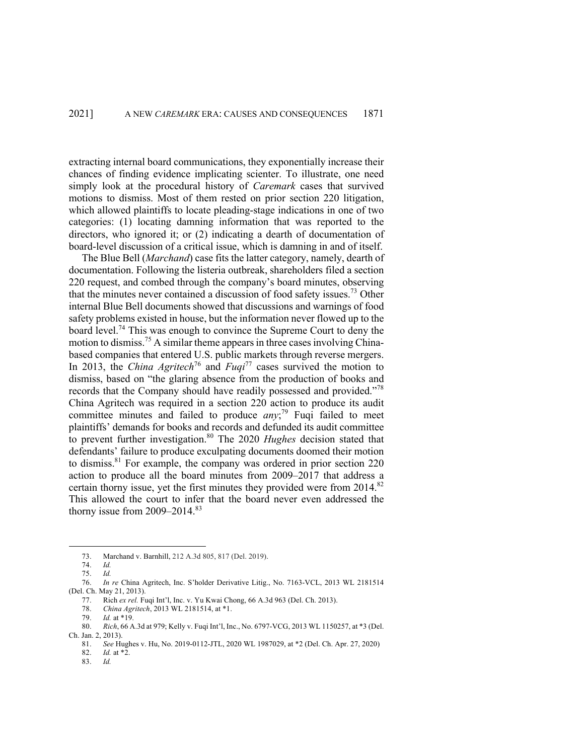extracting internal board communications, they exponentially increase their chances of finding evidence implicating scienter. To illustrate, one need simply look at the procedural history of *Caremark* cases that survived motions to dismiss. Most of them rested on prior section 220 litigation, which allowed plaintiffs to locate pleading-stage indications in one of two categories: (1) locating damning information that was reported to the directors, who ignored it; or (2) indicating a dearth of documentation of board-level discussion of a critical issue, which is damning in and of itself.

The Blue Bell (*Marchand*) case fits the latter category, namely, dearth of documentation. Following the listeria outbreak, shareholders filed a section 220 request, and combed through the company's board minutes, observing that the minutes never contained a discussion of food safety issues.<sup>73</sup> Other internal Blue Bell documents showed that discussions and warnings of food safety problems existed in house, but the information never flowed up to the board level.74 This was enough to convince the Supreme Court to deny the motion to dismiss.<sup>75</sup> A similar theme appears in three cases involving Chinabased companies that entered U.S. public markets through reverse mergers. In 2013, the *China Agritech*<sup>76</sup> and *Fuqi*<sup>77</sup> cases survived the motion to dismiss, based on "the glaring absence from the production of books and records that the Company should have readily possessed and provided."<sup>78</sup> China Agritech was required in a section 220 action to produce its audit committee minutes and failed to produce *any*; <sup>79</sup> Fuqi failed to meet plaintiffs' demands for books and records and defunded its audit committee to prevent further investigation. <sup>80</sup> The 2020 *Hughes* decision stated that defendants' failure to produce exculpating documents doomed their motion to dismiss.81 For example, the company was ordered in prior section 220 action to produce all the board minutes from 2009–2017 that address a certain thorny issue, yet the first minutes they provided were from  $2014$ .<sup>82</sup> This allowed the court to infer that the board never even addressed the thorny issue from  $2009 - 2014$ .<sup>83</sup>

78. *China Agritech*, 2013 WL 2181514, at \*1.

81. *See* Hughes v. Hu, No. 2019-0112-JTL, 2020 WL 1987029, at \*2 (Del. Ch. Apr. 27, 2020)

82. *Id.* at \*2.

83. *Id.*

<sup>73.</sup> Marchand v. Barnhill, 212 A.3d 805, 817 (Del. 2019).

<sup>74.</sup> *Id.*

<sup>75.</sup> *Id.*

<sup>76.</sup> *In re* China Agritech, Inc. S'holder Derivative Litig., No. 7163-VCL, 2013 WL 2181514 (Del. Ch. May 21, 2013).

<sup>77.</sup> Rich *ex rel.* Fuqi Int'l, Inc. v. Yu Kwai Chong, 66 A.3d 963 (Del. Ch. 2013).

*Id.* at  $*19$ .

<sup>80.</sup> *Rich*, 66 A.3d at 979; Kelly v. Fuqi Int'l, Inc., No. 6797-VCG, 2013 WL 1150257, at \*3 (Del. Ch. Jan. 2, 2013).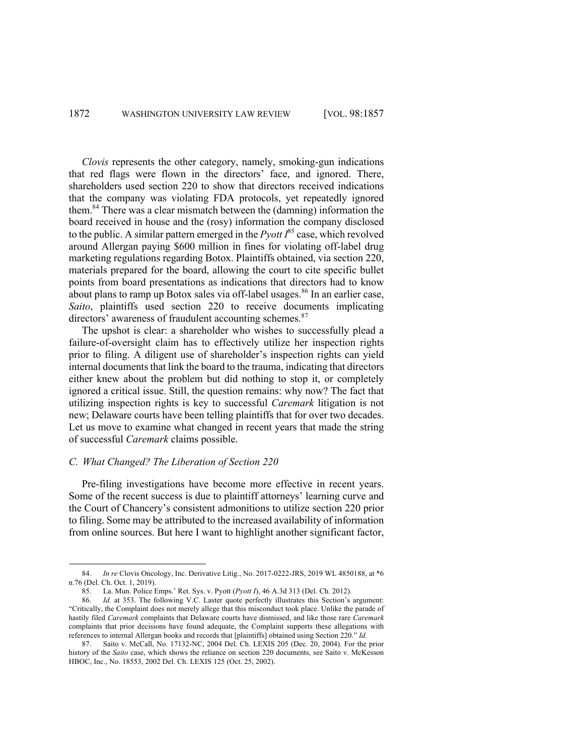*Clovis* represents the other category, namely, smoking-gun indications that red flags were flown in the directors' face, and ignored. There, shareholders used section 220 to show that directors received indications that the company was violating FDA protocols, yet repeatedly ignored them.<sup>84</sup> There was a clear mismatch between the (damning) information the board received in house and the (rosy) information the company disclosed to the public. A similar pattern emerged in the  $P$ *yott*  $I^{85}$  case, which revolved around Allergan paying \$600 million in fines for violating off-label drug marketing regulations regarding Botox. Plaintiffs obtained, via section 220, materials prepared for the board, allowing the court to cite specific bullet points from board presentations as indications that directors had to know about plans to ramp up Botox sales via off-label usages.<sup>86</sup> In an earlier case. *Saito*, plaintiffs used section 220 to receive documents implicating directors' awareness of fraudulent accounting schemes.<sup>87</sup>

The upshot is clear: a shareholder who wishes to successfully plead a failure-of-oversight claim has to effectively utilize her inspection rights prior to filing. A diligent use of shareholder's inspection rights can yield internal documents that link the board to the trauma, indicating that directors either knew about the problem but did nothing to stop it, or completely ignored a critical issue. Still, the question remains: why now? The fact that utilizing inspection rights is key to successful *Caremark* litigation is not new; Delaware courts have been telling plaintiffs that for over two decades. Let us move to examine what changed in recent years that made the string of successful *Caremark* claims possible.

# *C. What Changed? The Liberation of Section 220*

Pre-filing investigations have become more effective in recent years. Some of the recent success is due to plaintiff attorneys' learning curve and the Court of Chancery's consistent admonitions to utilize section 220 prior to filing. Some may be attributed to the increased availability of information from online sources. But here I want to highlight another significant factor,

<sup>84.</sup> *In re* Clovis Oncology, Inc. Derivative Litig., No. 2017-0222-JRS, 2019 WL 4850188, at \*6 n.76 (Del. Ch. Oct. 1, 2019).

<sup>85.</sup> La. Mun. Police Emps.' Ret. Sys. v. Pyott (*Pyott I*), 46 A.3d 313 (Del. Ch. 2012).

<sup>86.</sup> *Id.* at 353. The following V.C. Laster quote perfectly illustrates this Section's argument: "Critically, the Complaint does not merely allege that this misconduct took place. Unlike the parade of hastily filed *Caremark* complaints that Delaware courts have dismissed, and like those rare *Caremark* complaints that prior decisions have found adequate, the Complaint supports these allegations with references to internal Allergan books and records that [plaintiffs] obtained using Section 220." *Id.*

<sup>87.</sup> Saito v. McCall, No. 17132-NC, 2004 Del. Ch. LEXIS 205 (Dec. 20, 2004). For the prior history of the *Saito* case, which shows the reliance on section 220 documents, see Saito v. McKesson HBOC, Inc., No. 18553, 2002 Del. Ch. LEXIS 125 (Oct. 25, 2002).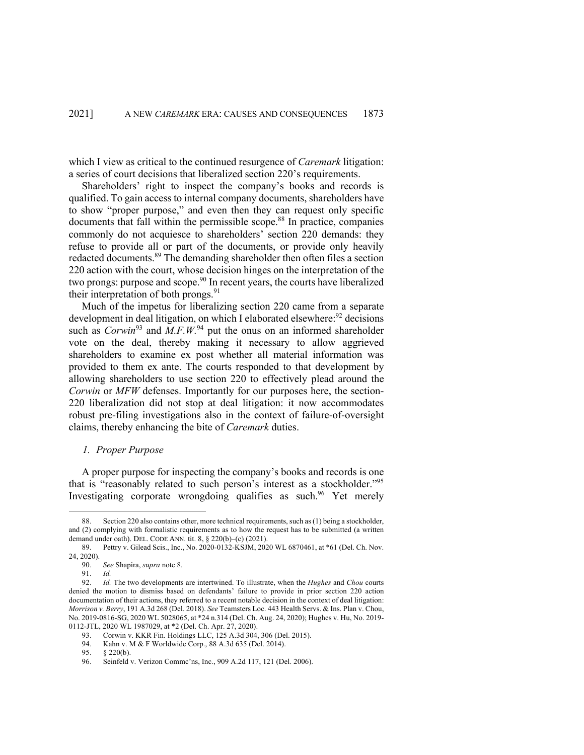which I view as critical to the continued resurgence of *Caremark* litigation: a series of court decisions that liberalized section 220's requirements.

Shareholders' right to inspect the company's books and records is qualified. To gain access to internal company documents, shareholders have to show "proper purpose," and even then they can request only specific documents that fall within the permissible scope. <sup>88</sup> In practice, companies commonly do not acquiesce to shareholders' section 220 demands: they refuse to provide all or part of the documents, or provide only heavily redacted documents.<sup>89</sup> The demanding shareholder then often files a section 220 action with the court, whose decision hinges on the interpretation of the two prongs: purpose and scope.<sup>90</sup> In recent years, the courts have liberalized their interpretation of both prongs.<sup>91</sup>

Much of the impetus for liberalizing section 220 came from a separate development in deal litigation, on which I elaborated elsewhere:  $92$  decisions such as  $Corwin<sup>93</sup>$  and  $M.F.W.^{94}$  put the onus on an informed shareholder vote on the deal, thereby making it necessary to allow aggrieved shareholders to examine ex post whether all material information was provided to them ex ante. The courts responded to that development by allowing shareholders to use section 220 to effectively plead around the *Corwin* or *MFW* defenses. Importantly for our purposes here, the section-220 liberalization did not stop at deal litigation: it now accommodates robust pre-filing investigations also in the context of failure-of-oversight claims, thereby enhancing the bite of *Caremark* duties.

#### *1. Proper Purpose*

A proper purpose for inspecting the company's books and records is one that is "reasonably related to such person's interest as a stockholder."<sup>95</sup> Investigating corporate wrongdoing qualifies as such.<sup>96</sup> Yet merely

Section 220 also contains other, more technical requirements, such as (1) being a stockholder, and (2) complying with formalistic requirements as to how the request has to be submitted (a written demand under oath). DEL. CODE ANN. tit. 8, § 220(b)–(c) (2021).

<sup>89.</sup> Pettry v. Gilead Scis., Inc., No. 2020-0132-KSJM, 2020 WL 6870461, at \*61 (Del. Ch. Nov. 24, 2020).

<sup>90.</sup> *See* Shapira, *supra* note 8.

<sup>91.</sup> *Id.* 

<sup>92.</sup> *Id.* The two developments are intertwined. To illustrate, when the *Hughes* and *Chou* courts denied the motion to dismiss based on defendants' failure to provide in prior section 220 action documentation of their actions, they referred to a recent notable decision in the context of deal litigation: *Morrison v. Berry*, 191 A.3d 268 (Del. 2018). *See* Teamsters Loc. 443 Health Servs. & Ins. Plan v. Chou, No. 2019-0816-SG, 2020 WL 5028065, at \*24 n.314 (Del. Ch. Aug. 24, 2020); Hughes v. Hu, No. 2019- 0112-JTL, 2020 WL 1987029, at \*2 (Del. Ch. Apr. 27, 2020).

<sup>93.</sup> Corwin v. KKR Fin. Holdings LLC, 125 A.3d 304, 306 (Del. 2015).<br>94. Kahn v. M & F Worldwide Corp., 88 A.3d 635 (Del. 2014).

Kahn v. M & F Worldwide Corp., 88 A.3d 635 (Del. 2014).

<sup>95.</sup> § 220(b).

<sup>96.</sup> Seinfeld v. Verizon Commc'ns, Inc., 909 A.2d 117, 121 (Del. 2006).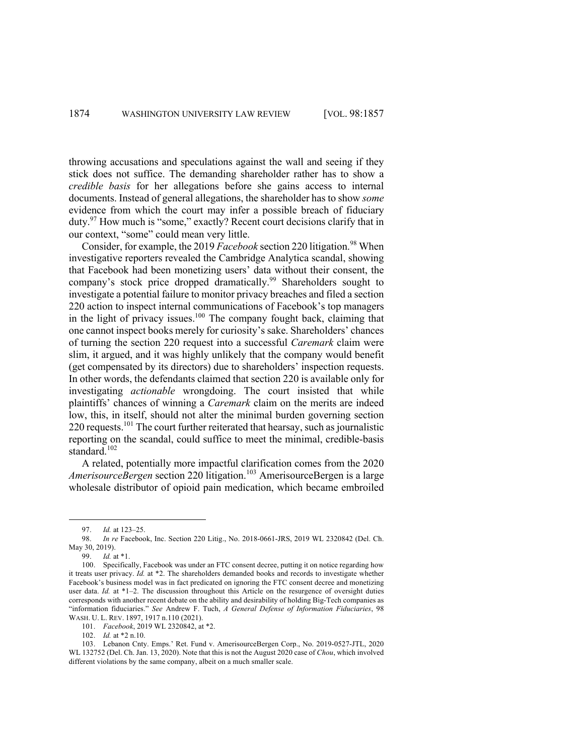throwing accusations and speculations against the wall and seeing if they stick does not suffice. The demanding shareholder rather has to show a *credible basis* for her allegations before she gains access to internal documents. Instead of general allegations, the shareholder has to show *some* evidence from which the court may infer a possible breach of fiduciary duty.97 How much is "some," exactly? Recent court decisions clarify that in our context, "some" could mean very little.

Consider, for example, the 2019 *Facebook* section 220 litigation. <sup>98</sup> When investigative reporters revealed the Cambridge Analytica scandal, showing that Facebook had been monetizing users' data without their consent, the company's stock price dropped dramatically.<sup>99</sup> Shareholders sought to investigate a potential failure to monitor privacy breaches and filed a section 220 action to inspect internal communications of Facebook's top managers in the light of privacy issues. $100$  The company fought back, claiming that one cannot inspect books merely for curiosity's sake. Shareholders' chances of turning the section 220 request into a successful *Caremark* claim were slim, it argued, and it was highly unlikely that the company would benefit (get compensated by its directors) due to shareholders' inspection requests. In other words, the defendants claimed that section 220 is available only for investigating *actionable* wrongdoing. The court insisted that while plaintiffs' chances of winning a *Caremark* claim on the merits are indeed low, this, in itself, should not alter the minimal burden governing section  $220$  requests.<sup>101</sup> The court further reiterated that hearsay, such as journalistic reporting on the scandal, could suffice to meet the minimal, credible-basis standard. 102

A related, potentially more impactful clarification comes from the 2020 *AmerisourceBergen* section 220 litigation.<sup>103</sup> AmerisourceBergen is a large wholesale distributor of opioid pain medication, which became embroiled

101. *Facebook*, 2019 WL 2320842, at \*2.

102. *Id.* at \*2 n.10.

<sup>97.</sup> *Id.* at 123–25.

<sup>98.</sup> *In re* Facebook, Inc. Section 220 Litig., No. 2018-0661-JRS, 2019 WL 2320842 (Del. Ch. May 30, 2019).

<sup>99.</sup> *Id.* at \*1.

<sup>100.</sup> Specifically, Facebook was under an FTC consent decree, putting it on notice regarding how it treats user privacy. *Id.* at \*2. The shareholders demanded books and records to investigate whether Facebook's business model was in fact predicated on ignoring the FTC consent decree and monetizing user data. *Id.* at \*1–2. The discussion throughout this Article on the resurgence of oversight duties corresponds with another recent debate on the ability and desirability of holding Big-Tech companies as "information fiduciaries." *See* Andrew F. Tuch, *A General Defense of Information Fiduciaries*, 98 WASH. U. L. REV. 1897, 1917 n.110 (2021).

<sup>103.</sup> Lebanon Cnty. Emps.' Ret. Fund v. AmerisourceBergen Corp., No. 2019-0527-JTL, 2020 WL 132752 (Del. Ch. Jan. 13, 2020). Note that this is not the August 2020 case of *Chou*, which involved different violations by the same company, albeit on a much smaller scale.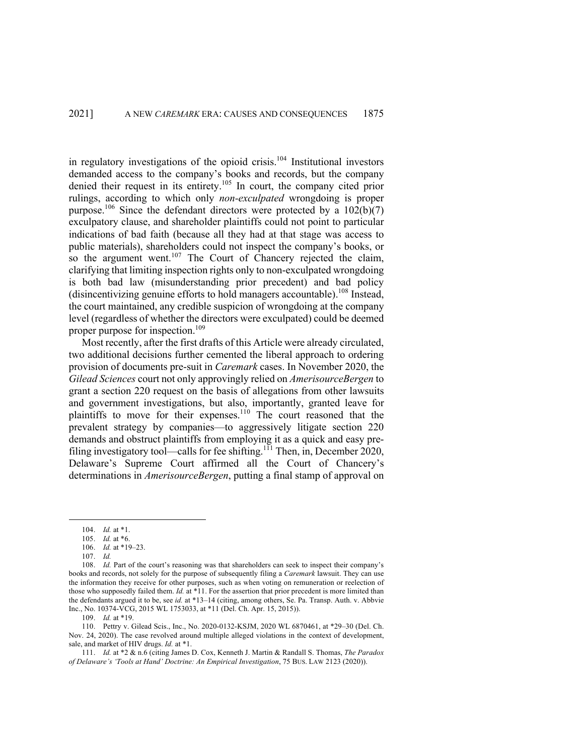in regulatory investigations of the opioid crisis. <sup>104</sup> Institutional investors demanded access to the company's books and records, but the company denied their request in its entirety.<sup>105</sup> In court, the company cited prior rulings, according to which only *non-exculpated* wrongdoing is proper purpose.<sup>106</sup> Since the defendant directors were protected by a  $102(b)(7)$ exculpatory clause, and shareholder plaintiffs could not point to particular indications of bad faith (because all they had at that stage was access to public materials), shareholders could not inspect the company's books, or so the argument went.<sup>107</sup> The Court of Chancery rejected the claim, clarifying that limiting inspection rights only to non-exculpated wrongdoing is both bad law (misunderstanding prior precedent) and bad policy (disincentivizing genuine efforts to hold managers accountable). <sup>108</sup> Instead, the court maintained, any credible suspicion of wrongdoing at the company level (regardless of whether the directors were exculpated) could be deemed proper purpose for inspection. 109

Most recently, after the first drafts of this Article were already circulated, two additional decisions further cemented the liberal approach to ordering provision of documents pre-suit in *Caremark* cases. In November 2020, the *Gilead Sciences* court not only approvingly relied on *AmerisourceBergen* to grant a section 220 request on the basis of allegations from other lawsuits and government investigations, but also, importantly, granted leave for plaintiffs to move for their expenses.<sup>110</sup> The court reasoned that the prevalent strategy by companies—to aggressively litigate section 220 demands and obstruct plaintiffs from employing it as a quick and easy prefiling investigatory tool—calls for fee shifting.<sup>111</sup> Then, in, December 2020, Delaware's Supreme Court affirmed all the Court of Chancery's determinations in *AmerisourceBergen*, putting a final stamp of approval on

107. *Id.*

108. *Id.* Part of the court's reasoning was that shareholders can seek to inspect their company's books and records, not solely for the purpose of subsequently filing a *Caremark* lawsuit. They can use the information they receive for other purposes, such as when voting on remuneration or reelection of those who supposedly failed them. *Id.* at \*11. For the assertion that prior precedent is more limited than the defendants argued it to be, see *id.* at \*13–14 (citing, among others, Se. Pa. Transp. Auth. v. Abbvie Inc., No. 10374-VCG, 2015 WL 1753033, at \*11 (Del. Ch. Apr. 15, 2015)).

109. *Id.* at \*19.

110. Pettry v. Gilead Scis., Inc., No. 2020-0132-KSJM, 2020 WL 6870461, at \*29–30 (Del. Ch. Nov. 24, 2020). The case revolved around multiple alleged violations in the context of development, sale, and market of HIV drugs. *Id.* at \*1.

111. *Id.* at \*2 & n.6 (citing James D. Cox, Kenneth J. Martin & Randall S. Thomas, *The Paradox of Delaware's 'Tools at Hand' Doctrine: An Empirical Investigation*, 75 BUS. LAW 2123 (2020)).

<sup>104.</sup> *Id.* at \*1.

<sup>105.</sup> *Id.* at \*6.

<sup>106.</sup> *Id.* at \*19–23.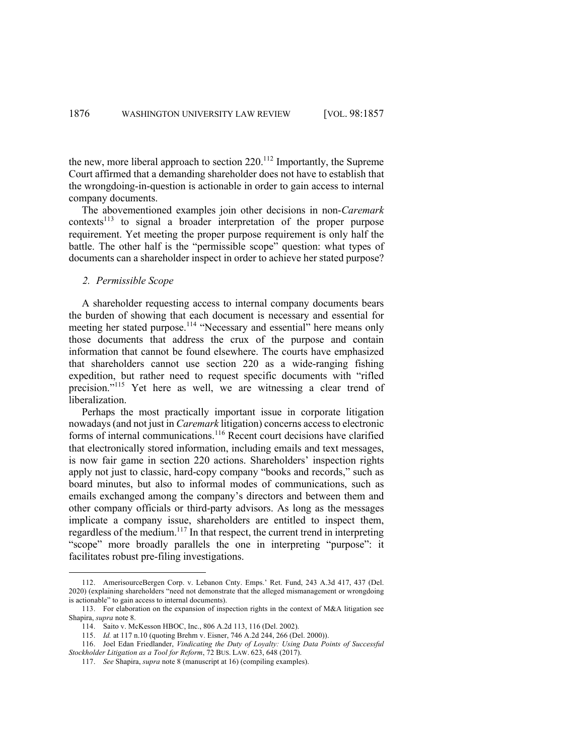the new, more liberal approach to section  $220$ <sup>112</sup> Importantly, the Supreme Court affirmed that a demanding shareholder does not have to establish that the wrongdoing-in-question is actionable in order to gain access to internal company documents.

The abovementioned examples join other decisions in non-*Caremark* contexts<sup>113</sup> to signal a broader interpretation of the proper purpose requirement. Yet meeting the proper purpose requirement is only half the battle. The other half is the "permissible scope" question: what types of documents can a shareholder inspect in order to achieve her stated purpose?

#### *2. Permissible Scope*

A shareholder requesting access to internal company documents bears the burden of showing that each document is necessary and essential for meeting her stated purpose.<sup>114</sup> "Necessary and essential" here means only those documents that address the crux of the purpose and contain information that cannot be found elsewhere. The courts have emphasized that shareholders cannot use section 220 as a wide-ranging fishing expedition, but rather need to request specific documents with "rifled precision."<sup>115</sup> Yet here as well, we are witnessing a clear trend of liberalization.

Perhaps the most practically important issue in corporate litigation nowadays(and not just in *Caremark* litigation) concerns access to electronic forms of internal communications.<sup>116</sup> Recent court decisions have clarified that electronically stored information, including emails and text messages, is now fair game in section 220 actions. Shareholders' inspection rights apply not just to classic, hard-copy company "books and records," such as board minutes, but also to informal modes of communications, such as emails exchanged among the company's directors and between them and other company officials or third-party advisors. As long as the messages implicate a company issue, shareholders are entitled to inspect them, regardless of the medium.<sup>117</sup> In that respect, the current trend in interpreting "scope" more broadly parallels the one in interpreting "purpose": it facilitates robust pre-filing investigations.

<sup>112.</sup> AmerisourceBergen Corp. v. Lebanon Cnty. Emps.' Ret. Fund, 243 A.3d 417, 437 (Del. 2020) (explaining shareholders "need not demonstrate that the alleged mismanagement or wrongdoing is actionable" to gain access to internal documents).

<sup>113.</sup> For elaboration on the expansion of inspection rights in the context of M&A litigation see Shapira, *supra* note 8.

<sup>114.</sup> Saito v. McKesson HBOC, Inc., 806 A.2d 113, 116 (Del. 2002).

<sup>115.</sup> *Id.* at 117 n.10 (quoting Brehm v. Eisner, 746 A.2d 244, 266 (Del. 2000)).

<sup>116.</sup> Joel Edan Friedlander, *Vindicating the Duty of Loyalty: Using Data Points of Successful Stockholder Litigation as a Tool for Reform*, 72 BUS. LAW. 623, 648 (2017).

<sup>117.</sup> *See* Shapira, *supra* note 8 (manuscript at 16) (compiling examples).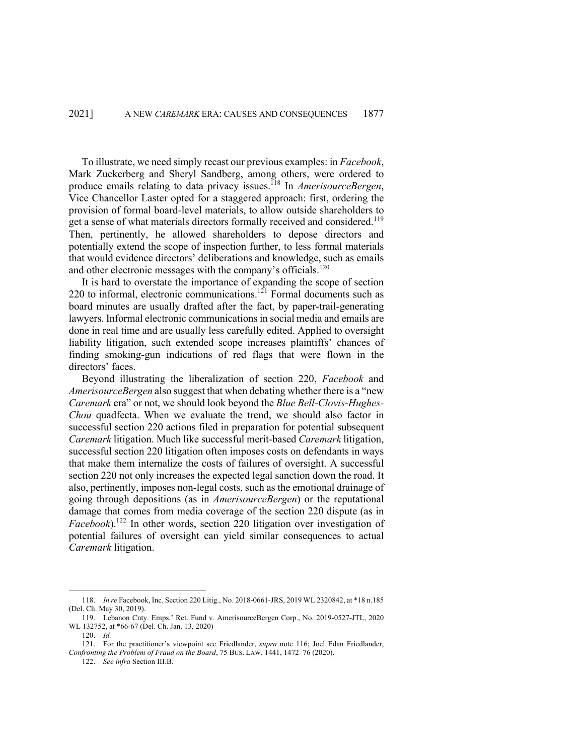To illustrate, we need simply recast our previous examples: in *Facebook*, Mark Zuckerberg and Sheryl Sandberg, among others, were ordered to produce emails relating to data privacy issues.118 In *AmerisourceBergen*, Vice Chancellor Laster opted for a staggered approach: first, ordering the provision of formal board-level materials, to allow outside shareholders to get a sense of what materials directors formally received and considered.<sup>119</sup> Then, pertinently, he allowed shareholders to depose directors and potentially extend the scope of inspection further, to less formal materials that would evidence directors' deliberations and knowledge, such as emails and other electronic messages with the company's officials.<sup>120</sup>

It is hard to overstate the importance of expanding the scope of section 220 to informal, electronic communications.<sup>121</sup> Formal documents such as board minutes are usually drafted after the fact, by paper-trail-generating lawyers. Informal electronic communications in social media and emails are done in real time and are usually less carefully edited. Applied to oversight liability litigation, such extended scope increases plaintiffs' chances of finding smoking-gun indications of red flags that were flown in the directors' faces.

Beyond illustrating the liberalization of section 220, *Facebook* and *AmerisourceBergen* also suggest that when debating whether there is a "new *Caremark* era" or not, we should look beyond the *Blue Bell*-*Clovis*-*Hughes-Chou* quadfecta. When we evaluate the trend, we should also factor in successful section 220 actions filed in preparation for potential subsequent *Caremark* litigation. Much like successful merit-based *Caremark* litigation, successful section 220 litigation often imposes costs on defendants in ways that make them internalize the costs of failures of oversight. A successful section 220 not only increases the expected legal sanction down the road. It also, pertinently, imposes non-legal costs, such as the emotional drainage of going through depositions (as in *AmerisourceBergen*) or the reputational damage that comes from media coverage of the section 220 dispute (as in *Facebook*). <sup>122</sup> In other words, section 220 litigation over investigation of potential failures of oversight can yield similar consequences to actual *Caremark* litigation.

<sup>118.</sup> *In re* Facebook, Inc. Section 220 Litig., No. 2018-0661-JRS, 2019 WL 2320842, at \*18 n.185 (Del. Ch. May 30, 2019).

<sup>119.</sup> Lebanon Cnty. Emps.' Ret. Fund v. AmerisourceBergen Corp., No. 2019-0527-JTL, 2020 WL 132752, at \*66-67 (Del. Ch. Jan. 13, 2020)

<sup>120.</sup> *Id.*

<sup>121.</sup> For the practitioner's viewpoint see Friedlander, *supra* note 116; Joel Edan Friedlander, *Confronting the Problem of Fraud on the Board*, 75 BUS. LAW. 1441, 1472–76 (2020).

<sup>122.</sup> *See infra* Section III.B.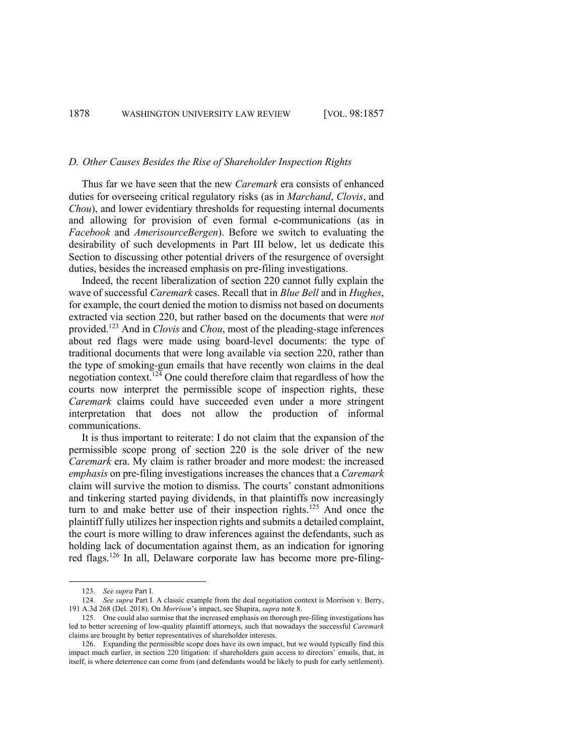#### *D. Other Causes Besides the Rise of Shareholder Inspection Rights*

Thus far we have seen that the new *Caremark* era consists of enhanced duties for overseeing critical regulatory risks (as in *Marchand*, *Clovis*, and *Chou*), and lower evidentiary thresholds for requesting internal documents and allowing for provision of even formal e-communications (as in *Facebook* and *AmerisourceBergen*). Before we switch to evaluating the desirability of such developments in Part III below, let us dedicate this Section to discussing other potential drivers of the resurgence of oversight duties, besides the increased emphasis on pre-filing investigations.

Indeed, the recent liberalization of section 220 cannot fully explain the wave of successful *Caremark* cases. Recall that in *Blue Bell* and in *Hughes*, for example, the court denied the motion to dismiss not based on documents extracted via section 220, but rather based on the documents that were *not* provided.123 And in *Clovis* and *Chou*, most of the pleading-stage inferences about red flags were made using board-level documents: the type of traditional documents that were long available via section 220, rather than the type of smoking-gun emails that have recently won claims in the deal negotiation context.<sup>124</sup> One could therefore claim that regardless of how the courts now interpret the permissible scope of inspection rights, these *Caremark* claims could have succeeded even under a more stringent interpretation that does not allow the production of informal communications.

It is thus important to reiterate: I do not claim that the expansion of the permissible scope prong of section 220 is the sole driver of the new *Caremark* era. My claim is rather broader and more modest: the increased *emphasis* on pre-filing investigations increases the chances that a *Caremark* claim will survive the motion to dismiss. The courts' constant admonitions and tinkering started paying dividends, in that plaintiffs now increasingly turn to and make better use of their inspection rights.<sup>125</sup> And once the plaintiff fully utilizes her inspection rights and submits a detailed complaint, the court is more willing to draw inferences against the defendants, such as holding lack of documentation against them, as an indication for ignoring red flags.<sup>126</sup> In all, Delaware corporate law has become more pre-filing-

<sup>123.</sup> *See supra* Part I.

<sup>124.</sup> *See supra* Part I. A classic example from the deal negotiation context is Morrison v. Berry, 191 A.3d 268 (Del. 2018). On *Morrison*'s impact, see Shapira, *supra* note 8.

<sup>125.</sup> One could also surmise that the increased emphasis on thorough pre-filing investigations has led to better screening of low-quality plaintiff attorneys, such that nowadays the successful *Caremark* claims are brought by better representatives of shareholder interests.

<sup>126.</sup> Expanding the permissible scope does have its own impact, but we would typically find this impact much earlier, in section 220 litigation: if shareholders gain access to directors' emails, that, in itself, is where deterrence can come from (and defendants would be likely to push for early settlement).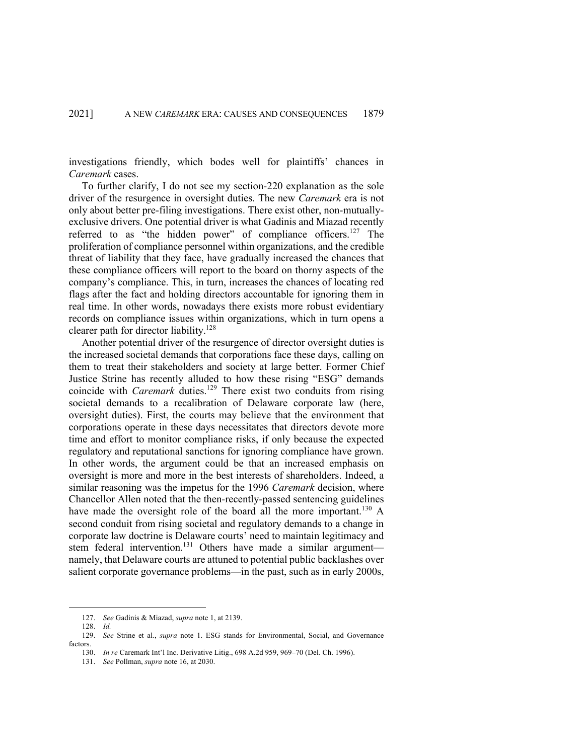investigations friendly, which bodes well for plaintiffs' chances in *Caremark* cases.

To further clarify, I do not see my section-220 explanation as the sole driver of the resurgence in oversight duties. The new *Caremark* era is not only about better pre-filing investigations. There exist other, non-mutuallyexclusive drivers. One potential driver is what Gadinis and Miazad recently referred to as "the hidden power" of compliance officers.<sup>127</sup> The proliferation of compliance personnel within organizations, and the credible threat of liability that they face, have gradually increased the chances that these compliance officers will report to the board on thorny aspects of the company's compliance. This, in turn, increases the chances of locating red flags after the fact and holding directors accountable for ignoring them in real time. In other words, nowadays there exists more robust evidentiary records on compliance issues within organizations, which in turn opens a clearer path for director liability.128

Another potential driver of the resurgence of director oversight duties is the increased societal demands that corporations face these days, calling on them to treat their stakeholders and society at large better. Former Chief Justice Strine has recently alluded to how these rising "ESG" demands coincide with *Caremark* duties. <sup>129</sup> There exist two conduits from rising societal demands to a recalibration of Delaware corporate law (here, oversight duties). First, the courts may believe that the environment that corporations operate in these days necessitates that directors devote more time and effort to monitor compliance risks, if only because the expected regulatory and reputational sanctions for ignoring compliance have grown. In other words, the argument could be that an increased emphasis on oversight is more and more in the best interests of shareholders. Indeed, a similar reasoning was the impetus for the 1996 *Caremark* decision, where Chancellor Allen noted that the then-recently-passed sentencing guidelines have made the oversight role of the board all the more important.<sup>130</sup> A second conduit from rising societal and regulatory demands to a change in corporate law doctrine is Delaware courts' need to maintain legitimacy and stem federal intervention.<sup>131</sup> Others have made a similar argumentnamely, that Delaware courts are attuned to potential public backlashes over salient corporate governance problems—in the past, such as in early 2000s,

<sup>127.</sup> *See* Gadinis & Miazad, *supra* note 1, at 2139.

<sup>128.</sup> *Id.*

<sup>129.</sup> *See* Strine et al., *supra* note 1. ESG stands for Environmental, Social, and Governance factors.

<sup>130.</sup> *In re* Caremark Int'l Inc. Derivative Litig., 698 A.2d 959, 969–70 (Del. Ch. 1996).

<sup>131.</sup> *See* Pollman, *supra* note 16, at 2030.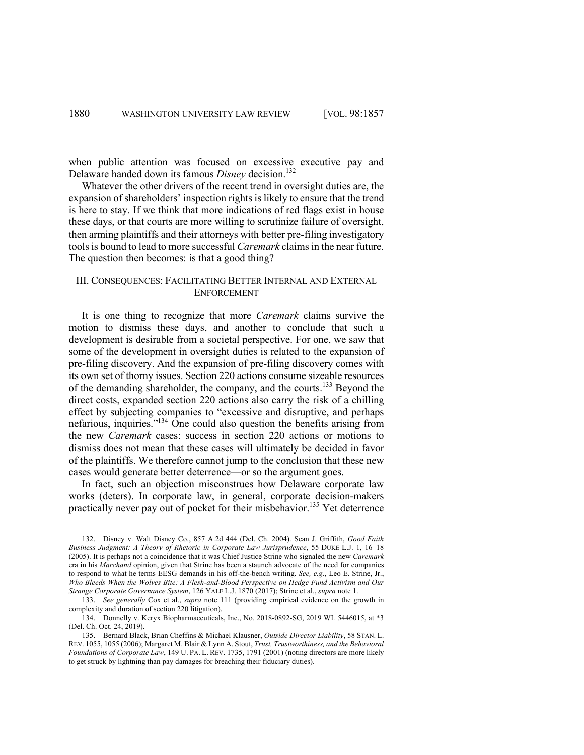when public attention was focused on excessive executive pay and Delaware handed down its famous *Disney* decision.<sup>132</sup>

Whatever the other drivers of the recent trend in oversight duties are, the expansion of shareholders' inspection rights is likely to ensure that the trend is here to stay. If we think that more indications of red flags exist in house these days, or that courts are more willing to scrutinize failure of oversight, then arming plaintiffs and their attorneys with better pre-filing investigatory tools is bound to lead to more successful *Caremark* claims in the near future. The question then becomes: is that a good thing?

# III. CONSEQUENCES: FACILITATING BETTER INTERNAL AND EXTERNAL ENFORCEMENT

It is one thing to recognize that more *Caremark* claims survive the motion to dismiss these days, and another to conclude that such a development is desirable from a societal perspective. For one, we saw that some of the development in oversight duties is related to the expansion of pre-filing discovery. And the expansion of pre-filing discovery comes with its own set of thorny issues. Section 220 actions consume sizeable resources of the demanding shareholder, the company, and the courts.<sup>133</sup> Beyond the direct costs, expanded section 220 actions also carry the risk of a chilling effect by subjecting companies to "excessive and disruptive, and perhaps nefarious, inquiries."134 One could also question the benefits arising from the new *Caremark* cases: success in section 220 actions or motions to dismiss does not mean that these cases will ultimately be decided in favor of the plaintiffs. We therefore cannot jump to the conclusion that these new cases would generate better deterrence—or so the argument goes.

In fact, such an objection misconstrues how Delaware corporate law works (deters). In corporate law, in general, corporate decision-makers practically never pay out of pocket for their misbehavior.<sup>135</sup> Yet deterrence

<sup>132.</sup> Disney v. Walt Disney Co., 857 A.2d 444 (Del. Ch. 2004). Sean J. Griffith, *Good Faith Business Judgment: A Theory of Rhetoric in Corporate Law Jurisprudence*, 55 DUKE L.J. 1, 16–18 (2005). It is perhaps not a coincidence that it was Chief Justice Strine who signaled the new *Caremark* era in his *Marchand* opinion, given that Strine has been a staunch advocate of the need for companies to respond to what he terms EESG demands in his off-the-bench writing. *See, e.g.*, Leo E. Strine, Jr., *Who Bleeds When the Wolves Bite: A Flesh-and-Blood Perspective on Hedge Fund Activism and Our Strange Corporate Governance System*, 126 YALE L.J. 1870 (2017); Strine et al., *supra* note 1.

<sup>133.</sup> *See generally* Cox et al., *supra* note 111 (providing empirical evidence on the growth in complexity and duration of section 220 litigation).

<sup>134.</sup> Donnelly v. Keryx Biopharmaceuticals, Inc., No. 2018-0892-SG, 2019 WL 5446015, at \*3 (Del. Ch. Oct. 24, 2019).

<sup>135.</sup> Bernard Black, Brian Cheffins & Michael Klausner, *Outside Director Liability*, 58 STAN. L. REV. 1055, 1055 (2006); Margaret M. Blair & Lynn A. Stout, *Trust, Trustworthiness, and the Behavioral Foundations of Corporate Law*, 149 U. PA. L. REV. 1735, 1791 (2001) (noting directors are more likely to get struck by lightning than pay damages for breaching their fiduciary duties).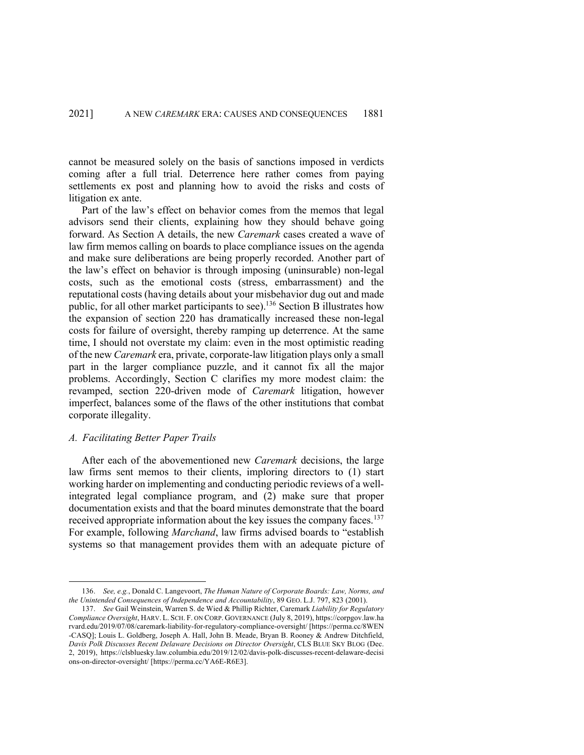cannot be measured solely on the basis of sanctions imposed in verdicts coming after a full trial. Deterrence here rather comes from paying settlements ex post and planning how to avoid the risks and costs of litigation ex ante.

Part of the law's effect on behavior comes from the memos that legal advisors send their clients, explaining how they should behave going forward. As Section A details, the new *Caremark* cases created a wave of law firm memos calling on boards to place compliance issues on the agenda and make sure deliberations are being properly recorded. Another part of the law's effect on behavior is through imposing (uninsurable) non-legal costs, such as the emotional costs (stress, embarrassment) and the reputational costs (having details about your misbehavior dug out and made public, for all other market participants to see).136 Section B illustrates how the expansion of section 220 has dramatically increased these non-legal costs for failure of oversight, thereby ramping up deterrence. At the same time, I should not overstate my claim: even in the most optimistic reading of the new *Caremark* era, private, corporate-law litigation plays only a small part in the larger compliance puzzle, and it cannot fix all the major problems. Accordingly, Section C clarifies my more modest claim: the revamped, section 220-driven mode of *Caremark* litigation, however imperfect, balances some of the flaws of the other institutions that combat corporate illegality.

#### *A. Facilitating Better Paper Trails*

After each of the abovementioned new *Caremark* decisions, the large law firms sent memos to their clients, imploring directors to (1) start working harder on implementing and conducting periodic reviews of a wellintegrated legal compliance program, and (2) make sure that proper documentation exists and that the board minutes demonstrate that the board received appropriate information about the key issues the company faces.<sup>137</sup> For example, following *Marchand*, law firms advised boards to "establish systems so that management provides them with an adequate picture of

<sup>136.</sup> *See, e.g.*, Donald C. Langevoort, *The Human Nature of Corporate Boards: Law, Norms, and the Unintended Consequences of Independence and Accountability*, 89 GEO. L.J. 797, 823 (2001).

<sup>137.</sup> *See* Gail Weinstein, Warren S. de Wied & Phillip Richter, Caremark *Liability for Regulatory Compliance Oversight*, HARV. L. SCH. F. ON CORP. GOVERNANCE (July 8, 2019), https://corpgov.law.ha rvard.edu/2019/07/08/caremark-liability-for-regulatory-compliance-oversight/ [https://perma.cc/8WEN -CASQ]; Louis L. Goldberg, Joseph A. Hall, John B. Meade, Bryan B. Rooney & Andrew Ditchfield, *Davis Polk Discusses Recent Delaware Decisions on Director Oversight*, CLS BLUE SKY BLOG (Dec. 2, 2019), https://clsbluesky.law.columbia.edu/2019/12/02/davis-polk-discusses-recent-delaware-decisi ons-on-director-oversight/ [https://perma.cc/YA6E-R6E3].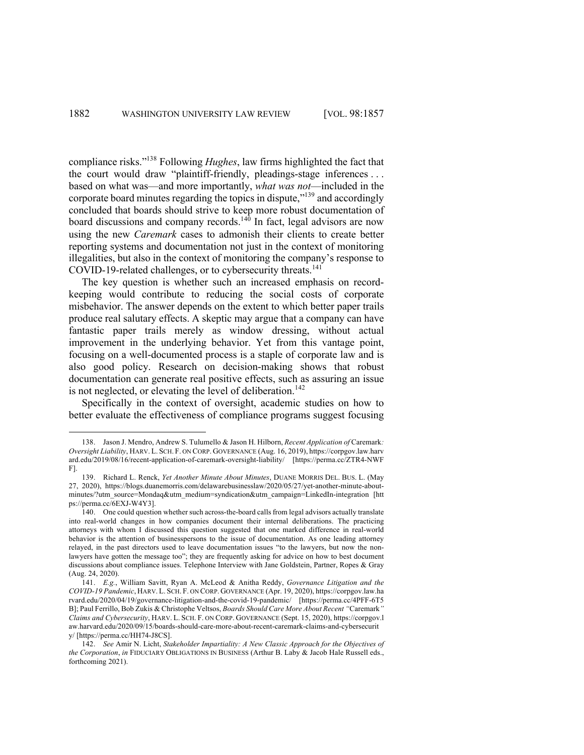compliance risks."138 Following *Hughes*, law firms highlighted the fact that the court would draw "plaintiff-friendly, pleadings-stage inferences . . . based on what was—and more importantly, *what was not*—included in the corporate board minutes regarding the topics in dispute,"139 and accordingly concluded that boards should strive to keep more robust documentation of board discussions and company records.<sup>140</sup> In fact, legal advisors are now using the new *Caremark* cases to admonish their clients to create better reporting systems and documentation not just in the context of monitoring illegalities, but also in the context of monitoring the company's response to COVID-19-related challenges, or to cybersecurity threats.<sup>141</sup>

The key question is whether such an increased emphasis on recordkeeping would contribute to reducing the social costs of corporate misbehavior. The answer depends on the extent to which better paper trails produce real salutary effects. A skeptic may argue that a company can have fantastic paper trails merely as window dressing, without actual improvement in the underlying behavior. Yet from this vantage point, focusing on a well-documented process is a staple of corporate law and is also good policy. Research on decision-making shows that robust documentation can generate real positive effects, such as assuring an issue is not neglected, or elevating the level of deliberation.<sup>142</sup>

Specifically in the context of oversight, academic studies on how to better evaluate the effectiveness of compliance programs suggest focusing

<sup>138.</sup> Jason J. Mendro, Andrew S. Tulumello & Jason H. Hilborn, *Recent Application of* Caremark*: Oversight Liability*, HARV. L. SCH. F. ON CORP. GOVERNANCE (Aug. 16, 2019), https://corpgov.law.harv ard.edu/2019/08/16/recent-application-of-caremark-oversight-liability/ [https://perma.cc/ZTR4-NWF F].

<sup>139.</sup> Richard L. Renck, *Yet Another Minute About Minutes*, DUANE MORRIS DEL. BUS. L. (May 27, 2020), https://blogs.duanemorris.com/delawarebusinesslaw/2020/05/27/yet-another-minute-aboutminutes/?utm\_source=Mondaq&utm\_medium=syndication&utm\_campaign=LinkedIn-integration [htt ps://perma.cc/6EXJ-W4Y3].

<sup>140.</sup> One could question whether such across-the-board calls from legal advisors actually translate into real-world changes in how companies document their internal deliberations. The practicing attorneys with whom I discussed this question suggested that one marked difference in real-world behavior is the attention of businesspersons to the issue of documentation. As one leading attorney relayed, in the past directors used to leave documentation issues "to the lawyers, but now the nonlawyers have gotten the message too"; they are frequently asking for advice on how to best document discussions about compliance issues. Telephone Interview with Jane Goldstein, Partner, Ropes & Gray (Aug. 24, 2020).

<sup>141.</sup> *E.g.*, William Savitt, Ryan A. McLeod & Anitha Reddy, *Governance Litigation and the COVID-19 Pandemic*, HARV. L. SCH. F. ON CORP. GOVERNANCE (Apr. 19, 2020), https://corpgov.law.ha rvard.edu/2020/04/19/governance-litigation-and-the-covid-19-pandemic/ [https://perma.cc/4PFF-6T5 B]; Paul Ferrillo, Bob Zukis & Christophe Veltsos, *Boards Should Care More About Recent "*Caremark*" Claims and Cybersecurity*, HARV. L. SCH. F. ON CORP. GOVERNANCE (Sept. 15, 2020), https://corpgov.l aw.harvard.edu/2020/09/15/boards-should-care-more-about-recent-caremark-claims-and-cybersecurit y/ [https://perma.cc/HH74-J8CS].

<sup>142.</sup> *See* Amir N. Licht, *Stakeholder Impartiality: A New Classic Approach for the Objectives of the Corporation*, *in* FIDUCIARY OBLIGATIONS IN BUSINESS (Arthur B. Laby & Jacob Hale Russell eds., forthcoming 2021).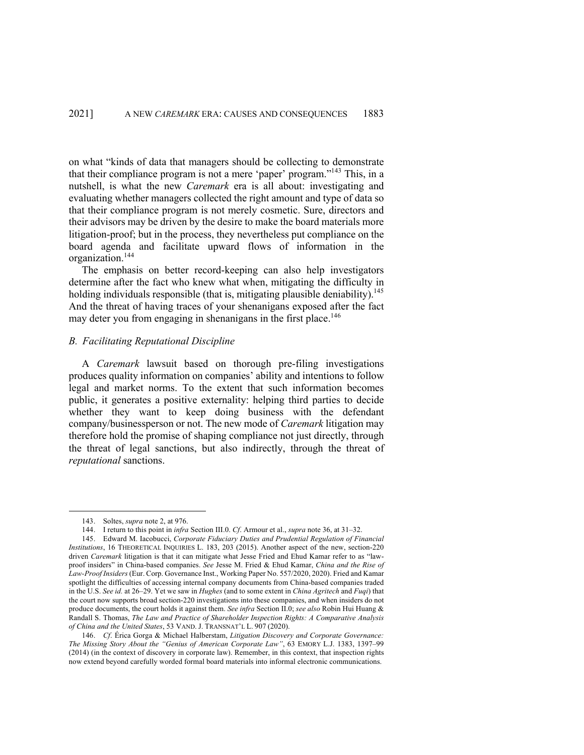on what "kinds of data that managers should be collecting to demonstrate that their compliance program is not a mere 'paper' program."143 This, in a nutshell, is what the new *Caremark* era is all about: investigating and evaluating whether managers collected the right amount and type of data so that their compliance program is not merely cosmetic. Sure, directors and their advisors may be driven by the desire to make the board materials more litigation-proof; but in the process, they nevertheless put compliance on the board agenda and facilitate upward flows of information in the organization. 144

The emphasis on better record-keeping can also help investigators determine after the fact who knew what when, mitigating the difficulty in holding individuals responsible (that is, mitigating plausible deniability).<sup>145</sup> And the threat of having traces of your shenanigans exposed after the fact may deter you from engaging in shenanigans in the first place. 146

# *B. Facilitating Reputational Discipline*

A *Caremark* lawsuit based on thorough pre-filing investigations produces quality information on companies' ability and intentions to follow legal and market norms. To the extent that such information becomes public, it generates a positive externality: helping third parties to decide whether they want to keep doing business with the defendant company/businessperson or not. The new mode of *Caremark* litigation may therefore hold the promise of shaping compliance not just directly, through the threat of legal sanctions, but also indirectly, through the threat of *reputational* sanctions.

<sup>143.</sup> Soltes, *supra* note 2, at 976.

<sup>144.</sup> I return to this point in *infra* Section III.0. *Cf*. Armour et al., *supra* note 36, at 31–32.

<sup>145.</sup> Edward M. Iacobucci, *Corporate Fiduciary Duties and Prudential Regulation of Financial Institutions*, 16 THEORETICAL INQUIRIES L. 183, 203 (2015). Another aspect of the new, section-220 driven *Caremark* litigation is that it can mitigate what Jesse Fried and Ehud Kamar refer to as "lawproof insiders" in China-based companies. *See* Jesse M. Fried & Ehud Kamar, *China and the Rise of Law-Proof Insiders* (Eur. Corp. Governance Inst., Working Paper No. 557/2020, 2020). Fried and Kamar spotlight the difficulties of accessing internal company documents from China-based companies traded in the U.S. *See id.* at 26–29. Yet we saw in *Hughes* (and to some extent in *China Agritech* and *Fuqi*) that the court now supports broad section-220 investigations into these companies, and when insiders do not produce documents, the court holds it against them. *See infra* Section II.0; *see also* Robin Hui Huang & Randall S. Thomas, *The Law and Practice of Shareholder Inspection Rights: A Comparative Analysis of China and the United States*, 53 VAND. J. TRANSNAT'L L. 907 (2020).

<sup>146.</sup> *Cf*. Érica Gorga & Michael Halberstam, *Litigation Discovery and Corporate Governance: The Missing Story About the "Genius of American Corporate Law"*, 63 EMORY L.J. 1383, 1397–99 (2014) (in the context of discovery in corporate law). Remember, in this context, that inspection rights now extend beyond carefully worded formal board materials into informal electronic communications.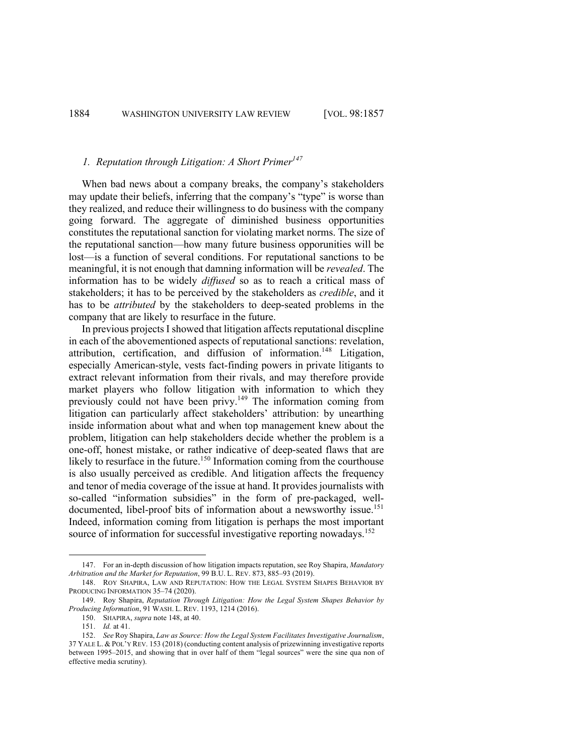## *1. Reputation through Litigation: A Short Primer*<sup>147</sup>

When bad news about a company breaks, the company's stakeholders may update their beliefs, inferring that the company's "type" is worse than they realized, and reduce their willingness to do business with the company going forward. The aggregate of diminished business opportunities constitutes the reputational sanction for violating market norms. The size of the reputational sanction—how many future business opporunities will be lost—is a function of several conditions. For reputational sanctions to be meaningful, it is not enough that damning information will be *revealed*. The information has to be widely *diffused* so as to reach a critical mass of stakeholders; it has to be perceived by the stakeholders as *credible*, and it has to be *attributed* by the stakeholders to deep-seated problems in the company that are likely to resurface in the future.

In previous projects I showed that litigation affects reputational discpline in each of the abovementioned aspects of reputational sanctions: revelation, attribution, certification, and diffusion of information.<sup>148</sup> Litigation, especially American-style, vests fact-finding powers in private litigants to extract relevant information from their rivals, and may therefore provide market players who follow litigation with information to which they previously could not have been privy.<sup>149</sup> The information coming from litigation can particularly affect stakeholders' attribution: by unearthing inside information about what and when top management knew about the problem, litigation can help stakeholders decide whether the problem is a one-off, honest mistake, or rather indicative of deep-seated flaws that are likely to resurface in the future.<sup>150</sup> Information coming from the courthouse is also usually perceived as credible. And litigation affects the frequency and tenor of media coverage of the issue at hand. It provides journalists with so-called "information subsidies" in the form of pre-packaged, welldocumented, libel-proof bits of information about a newsworthy issue.<sup>151</sup> Indeed, information coming from litigation is perhaps the most important source of information for successful investigative reporting nowadays.<sup>152</sup>

<sup>147.</sup> For an in-depth discussion of how litigation impacts reputation, see Roy Shapira, *Mandatory Arbitration and the Market for Reputation*, 99 B.U. L. REV. 873, 885–93 (2019).

<sup>148.</sup> ROY SHAPIRA, LAW AND REPUTATION: HOW THE LEGAL SYSTEM SHAPES BEHAVIOR BY PRODUCING INFORMATION 35-74 (2020).

<sup>149.</sup> Roy Shapira, *Reputation Through Litigation: How the Legal System Shapes Behavior by Producing Information*, 91 WASH. L. REV. 1193, 1214 (2016).

<sup>150.</sup> SHAPIRA, *supra* note 148, at 40.

<sup>151.</sup> *Id.* at 41.

<sup>152.</sup> *See* Roy Shapira, *Law as Source: How the Legal System Facilitates Investigative Journalism*, 37 YALE L. & POL'Y REV. 153 (2018) (conducting content analysis of prizewinning investigative reports between 1995–2015, and showing that in over half of them "legal sources" were the sine qua non of effective media scrutiny).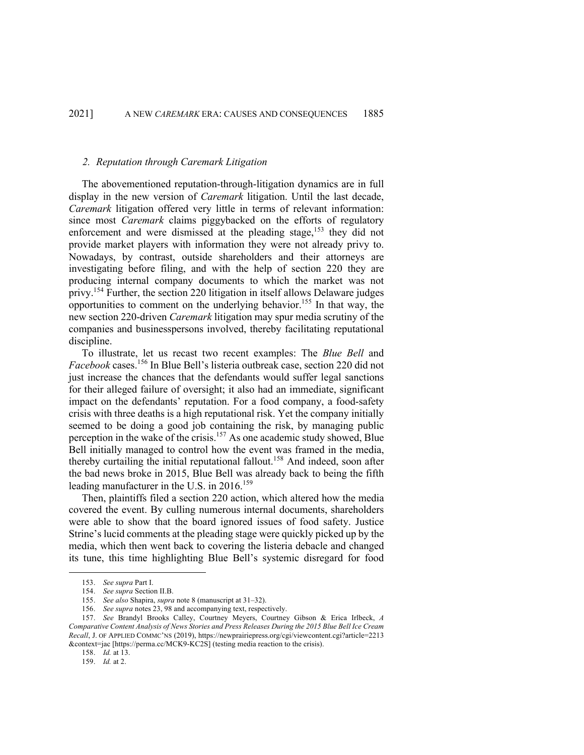## *2. Reputation through Caremark Litigation*

The abovementioned reputation-through-litigation dynamics are in full display in the new version of *Caremark* litigation. Until the last decade, *Caremark* litigation offered very little in terms of relevant information: since most *Caremark* claims piggybacked on the efforts of regulatory enforcement and were dismissed at the pleading stage,<sup>153</sup> they did not provide market players with information they were not already privy to. Nowadays, by contrast, outside shareholders and their attorneys are investigating before filing, and with the help of section 220 they are producing internal company documents to which the market was not privy.<sup>154</sup> Further, the section 220 litigation in itself allows Delaware judges opportunities to comment on the underlying behavior.155 In that way, the new section 220-driven *Caremark* litigation may spur media scrutiny of the companies and businesspersons involved, thereby facilitating reputational discipline.

To illustrate, let us recast two recent examples: The *Blue Bell* and *Facebook* cases.<sup>156</sup> In Blue Bell's listeria outbreak case, section 220 did not just increase the chances that the defendants would suffer legal sanctions for their alleged failure of oversight; it also had an immediate, significant impact on the defendants' reputation. For a food company, a food-safety crisis with three deaths is a high reputational risk. Yet the company initially seemed to be doing a good job containing the risk, by managing public perception in the wake of the crisis.<sup>157</sup> As one academic study showed, Blue Bell initially managed to control how the event was framed in the media, thereby curtailing the initial reputational fallout.<sup>158</sup> And indeed, soon after the bad news broke in 2015, Blue Bell was already back to being the fifth leading manufacturer in the U.S. in 2016.<sup>159</sup>

Then, plaintiffs filed a section 220 action, which altered how the media covered the event. By culling numerous internal documents, shareholders were able to show that the board ignored issues of food safety. Justice Strine's lucid comments at the pleading stage were quickly picked up by the media, which then went back to covering the listeria debacle and changed its tune, this time highlighting Blue Bell's systemic disregard for food

<sup>153.</sup> *See supra* Part I.

<sup>154.</sup> *See supra* Section II.B.

<sup>155.</sup> *See also* Shapira, *supra* note 8 (manuscript at 31–32).

<sup>156.</sup> *See supra* notes 23, 98 and accompanying text, respectively.

<sup>157.</sup> *See* Brandyl Brooks Calley, Courtney Meyers, Courtney Gibson & Erica Irlbeck, *A Comparative Content Analysis of News Stories and Press Releases During the 2015 Blue Bell Ice Cream Recall*, J. OF APPLIED COMMC'NS (2019), https://newprairiepress.org/cgi/viewcontent.cgi?article=2213 &context=jac [https://perma.cc/MCK9-KC2S] (testing media reaction to the crisis).

<sup>158.</sup> *Id.* at 13.

<sup>159.</sup> *Id.* at 2.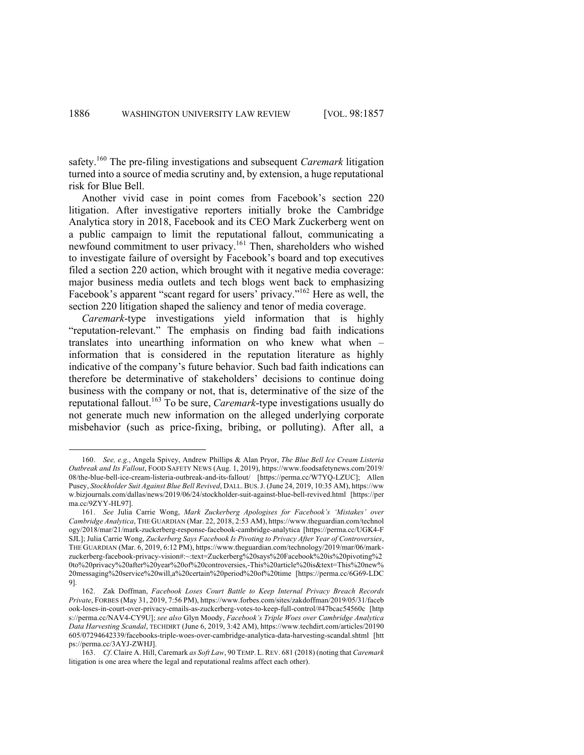safety.<sup>160</sup> The pre-filing investigations and subsequent *Caremark* litigation turned into a source of media scrutiny and, by extension, a huge reputational risk for Blue Bell.

Another vivid case in point comes from Facebook's section 220 litigation. After investigative reporters initially broke the Cambridge Analytica story in 2018, Facebook and its CEO Mark Zuckerberg went on a public campaign to limit the reputational fallout, communicating a newfound commitment to user privacy.161 Then, shareholders who wished to investigate failure of oversight by Facebook's board and top executives filed a section 220 action, which brought with it negative media coverage: major business media outlets and tech blogs went back to emphasizing Facebook's apparent "scant regard for users' privacy."<sup>162</sup> Here as well, the section 220 litigation shaped the saliency and tenor of media coverage.

*Caremark*-type investigations yield information that is highly "reputation-relevant." The emphasis on finding bad faith indications translates into unearthing information on who knew what when – information that is considered in the reputation literature as highly indicative of the company's future behavior. Such bad faith indications can therefore be determinative of stakeholders' decisions to continue doing business with the company or not, that is, determinative of the size of the reputational fallout. <sup>163</sup> To be sure, *Caremark*-type investigations usually do not generate much new information on the alleged underlying corporate misbehavior (such as price-fixing, bribing, or polluting). After all, a

<sup>160.</sup> *See, e.g.*, Angela Spivey, Andrew Phillips & Alan Pryor, *The Blue Bell Ice Cream Listeria Outbreak and Its Fallout*, FOOD SAFETY NEWS (Aug. 1, 2019), https://www.foodsafetynews.com/2019/ 08/the-blue-bell-ice-cream-listeria-outbreak-and-its-fallout/ [https://perma.cc/W7YQ-LZUC]; Allen Pusey, *Stockholder Suit Against Blue Bell Revived*, DALL.BUS.J. (June 24, 2019, 10:35 AM), https://ww w.bizjournals.com/dallas/news/2019/06/24/stockholder-suit-against-blue-bell-revived.html [https://per ma.cc/9ZYY-HL97].

<sup>161.</sup> *See* Julia Carrie Wong, *Mark Zuckerberg Apologises for Facebook's 'Mistakes' over Cambridge Analytica*, THE GUARDIAN (Mar. 22, 2018, 2:53 AM), https://www.theguardian.com/technol ogy/2018/mar/21/mark-zuckerberg-response-facebook-cambridge-analytica [https://perma.cc/UGK4-F SJL]; Julia Carrie Wong, *Zuckerberg Says Facebook Is Pivoting to Privacy After Year of Controversies*, THE GUARDIAN (Mar. 6, 2019, 6:12 PM), https://www.theguardian.com/technology/2019/mar/06/markzuckerberg-facebook-privacy-vision#:~:text=Zuckerberg%20says%20Facebook%20is%20pivoting%2 0to%20privacy%20after%20year%20of%20controversies,-This%20article%20is&text=This%20new% 20messaging%20service%20will,a%20certain%20period%20of%20time [https://perma.cc/6G69-LDC 9].

<sup>162.</sup> Zak Doffman, *Facebook Loses Court Battle to Keep Internal Privacy Breach Records Private*, FORBES (May 31, 2019, 7:56 PM), https://www.forbes.com/sites/zakdoffman/2019/05/31/faceb ook-loses-in-court-over-privacy-emails-as-zuckerberg-votes-to-keep-full-control/#47bcac54560c [http s://perma.cc/NAV4-CY9U]; *see also* Glyn Moody, *Facebook's Triple Woes over Cambridge Analytica Data Harvesting Scandal*, TECHDIRT (June 6, 2019, 3:42 AM), https://www.techdirt.com/articles/20190 605/07294642339/facebooks-triple-woes-over-cambridge-analytica-data-harvesting-scandal.shtml [htt ps://perma.cc/3AYJ-ZWHJ].

<sup>163.</sup> *Cf*. Claire A. Hill, Caremark *as Soft Law*, 90 TEMP. L.REV. 681 (2018) (noting that *Caremark* litigation is one area where the legal and reputational realms affect each other).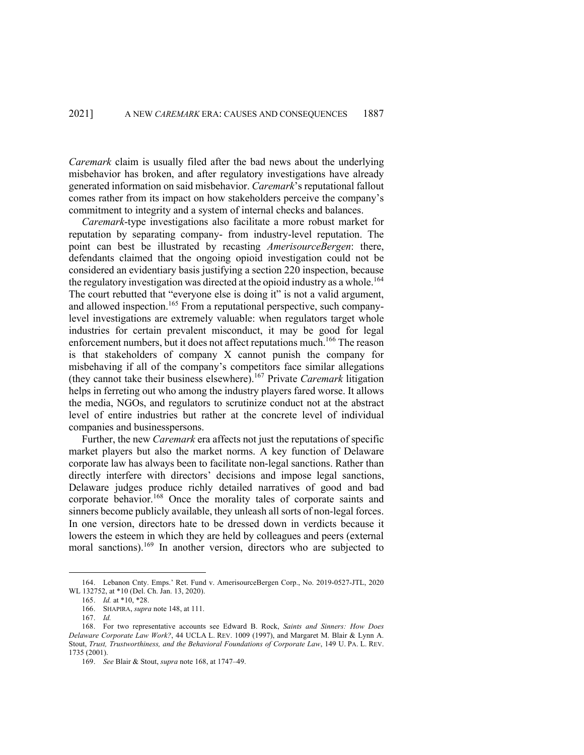*Caremark* claim is usually filed after the bad news about the underlying misbehavior has broken, and after regulatory investigations have already generated information on said misbehavior. *Caremark*'s reputational fallout comes rather from its impact on how stakeholders perceive the company's commitment to integrity and a system of internal checks and balances.

*Caremark*-type investigations also facilitate a more robust market for reputation by separating company- from industry-level reputation. The point can best be illustrated by recasting *AmerisourceBergen*: there, defendants claimed that the ongoing opioid investigation could not be considered an evidentiary basis justifying a section 220 inspection, because the regulatory investigation was directed at the opioid industry as a whole.<sup>164</sup> The court rebutted that "everyone else is doing it" is not a valid argument, and allowed inspection.<sup>165</sup> From a reputational perspective, such companylevel investigations are extremely valuable: when regulators target whole industries for certain prevalent misconduct, it may be good for legal enforcement numbers, but it does not affect reputations much.<sup>166</sup> The reason is that stakeholders of company X cannot punish the company for misbehaving if all of the company's competitors face similar allegations (they cannot take their business elsewhere).167 Private *Caremark* litigation helps in ferreting out who among the industry players fared worse. It allows the media, NGOs, and regulators to scrutinize conduct not at the abstract level of entire industries but rather at the concrete level of individual companies and businesspersons.

Further, the new *Caremark* era affects not just the reputations of specific market players but also the market norms. A key function of Delaware corporate law has always been to facilitate non-legal sanctions. Rather than directly interfere with directors' decisions and impose legal sanctions, Delaware judges produce richly detailed narratives of good and bad corporate behavior.<sup>168</sup> Once the morality tales of corporate saints and sinners become publicly available, they unleash all sorts of non-legal forces. In one version, directors hate to be dressed down in verdicts because it lowers the esteem in which they are held by colleagues and peers (external moral sanctions).<sup>169</sup> In another version, directors who are subjected to

<sup>164.</sup> Lebanon Cnty. Emps.' Ret. Fund v. AmerisourceBergen Corp., No. 2019-0527-JTL, 2020 WL 132752, at \*10 (Del. Ch. Jan. 13, 2020).

<sup>165.</sup> *Id.* at \*10, \*28.

<sup>166.</sup> SHAPIRA, *supra* note 148, at 111.

<sup>167.</sup> *Id.* 

<sup>168.</sup> For two representative accounts see Edward B. Rock, *Saints and Sinners: How Does Delaware Corporate Law Work?*, 44 UCLA L. REV. 1009 (1997), and Margaret M. Blair & Lynn A. Stout, *Trust, Trustworthiness, and the Behavioral Foundations of Corporate Law*, 149 U. PA. L. REV. 1735 (2001).

<sup>169.</sup> *See* Blair & Stout, *supra* note 168, at 1747–49.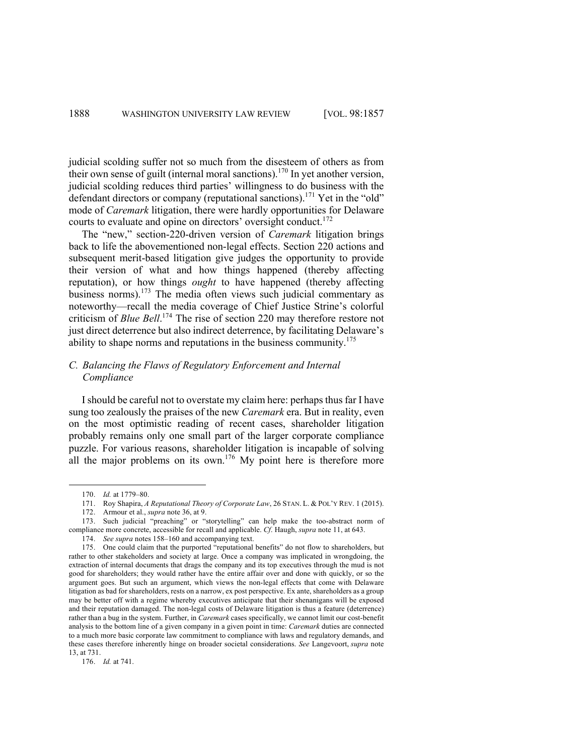judicial scolding suffer not so much from the disesteem of others as from their own sense of guilt (internal moral sanctions).<sup>170</sup> In yet another version, judicial scolding reduces third parties' willingness to do business with the defendant directors or company (reputational sanctions).<sup>171</sup> Yet in the "old" mode of *Caremark* litigation, there were hardly opportunities for Delaware courts to evaluate and opine on directors' oversight conduct.<sup>172</sup>

The "new," section-220-driven version of *Caremark* litigation brings back to life the abovementioned non-legal effects. Section 220 actions and subsequent merit-based litigation give judges the opportunity to provide their version of what and how things happened (thereby affecting reputation), or how things *ought* to have happened (thereby affecting business norms). <sup>173</sup> The media often views such judicial commentary as noteworthy—recall the media coverage of Chief Justice Strine's colorful criticism of *Blue Bell*. <sup>174</sup> The rise of section 220 may therefore restore not just direct deterrence but also indirect deterrence, by facilitating Delaware's ability to shape norms and reputations in the business community.<sup>175</sup>

# *C. Balancing the Flaws of Regulatory Enforcement and Internal Compliance*

I should be careful not to overstate my claim here: perhaps thus far I have sung too zealously the praises of the new *Caremark* era. But in reality, even on the most optimistic reading of recent cases, shareholder litigation probably remains only one small part of the larger corporate compliance puzzle. For various reasons, shareholder litigation is incapable of solving all the major problems on its own.<sup>176</sup> My point here is therefore more

<sup>170.</sup> *Id.* at 1779–80.

<sup>171.</sup> Roy Shapira, *A Reputational Theory of Corporate Law*, 26 STAN. L. & POL'Y REV. 1 (2015).

<sup>172.</sup> Armour et al., *supra* note 36, at 9.

<sup>173.</sup> Such judicial "preaching" or "storytelling" can help make the too-abstract norm of compliance more concrete, accessible for recall and applicable. *Cf*. Haugh, *supra* note 11, at 643.

<sup>174.</sup> *See supra* notes 158–160 and accompanying text.

<sup>175.</sup> One could claim that the purported "reputational benefits" do not flow to shareholders, but rather to other stakeholders and society at large. Once a company was implicated in wrongdoing, the extraction of internal documents that drags the company and its top executives through the mud is not good for shareholders; they would rather have the entire affair over and done with quickly, or so the argument goes. But such an argument, which views the non-legal effects that come with Delaware litigation as bad for shareholders, rests on a narrow, ex post perspective. Ex ante, shareholders as a group may be better off with a regime whereby executives anticipate that their shenanigans will be exposed and their reputation damaged. The non-legal costs of Delaware litigation is thus a feature (deterrence) rather than a bug in the system. Further, in *Caremark* cases specifically, we cannot limit our cost-benefit analysis to the bottom line of a given company in a given point in time: *Caremark* duties are connected to a much more basic corporate law commitment to compliance with laws and regulatory demands, and these cases therefore inherently hinge on broader societal considerations. *See* Langevoort, *supra* note 13, at 731.

<sup>176.</sup> *Id.* at 741.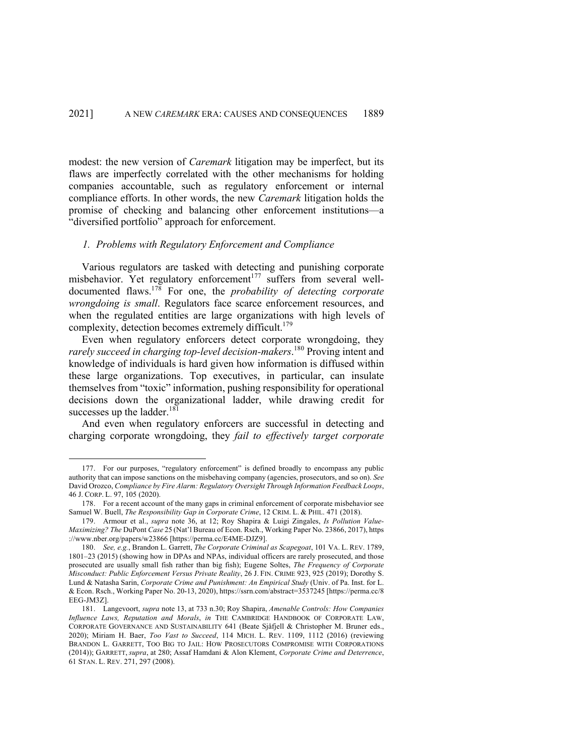modest: the new version of *Caremark* litigation may be imperfect, but its flaws are imperfectly correlated with the other mechanisms for holding companies accountable, such as regulatory enforcement or internal compliance efforts. In other words, the new *Caremark* litigation holds the promise of checking and balancing other enforcement institutions—a "diversified portfolio" approach for enforcement.

## *1. Problems with Regulatory Enforcement and Compliance*

Various regulators are tasked with detecting and punishing corporate misbehavior. Yet regulatory enforcement<sup>177</sup> suffers from several welldocumented flaws.178 For one, the *probability of detecting corporate wrongdoing is small*. Regulators face scarce enforcement resources, and when the regulated entities are large organizations with high levels of complexity, detection becomes extremely difficult. 179

Even when regulatory enforcers detect corporate wrongdoing, they *rarely succeed in charging top-level decision-makers*. <sup>180</sup> Proving intent and knowledge of individuals is hard given how information is diffused within these large organizations. Top executives, in particular, can insulate themselves from "toxic" information, pushing responsibility for operational decisions down the organizational ladder, while drawing credit for successes up the ladder. $181$ 

And even when regulatory enforcers are successful in detecting and charging corporate wrongdoing, they *fail to effectively target corporate* 

<sup>177.</sup> For our purposes, "regulatory enforcement" is defined broadly to encompass any public authority that can impose sanctions on the misbehaving company (agencies, prosecutors, and so on). *See*  David Orozco, *Compliance by Fire Alarm: Regulatory Oversight Through Information Feedback Loops*, 46 J. CORP. L. 97, 105 (2020).

<sup>178.</sup> For a recent account of the many gaps in criminal enforcement of corporate misbehavior see Samuel W. Buell, *The Responsibility Gap in Corporate Crime*, 12 CRIM. L. & PHIL. 471 (2018).

<sup>179.</sup> Armour et al., *supra* note 36, at 12; Roy Shapira & Luigi Zingales, *Is Pollution Value-Maximizing? The* DuPont *Case* 25 (Nat'l Bureau of Econ. Rsch., Working Paper No. 23866, 2017), https ://www.nber.org/papers/w23866 [https://perma.cc/E4ME-DJZ9].

<sup>180.</sup> *See, e.g.*, Brandon L. Garrett, *The Corporate Criminal as Scapegoat*, 101 VA. L. REV. 1789, 1801–23 (2015) (showing how in DPAs and NPAs, individual officers are rarely prosecuted, and those prosecuted are usually small fish rather than big fish); Eugene Soltes, *The Frequency of Corporate Misconduct: Public Enforcement Versus Private Reality*, 26 J. FIN. CRIME 923, 925 (2019); Dorothy S. Lund & Natasha Sarin, *Corporate Crime and Punishment: An Empirical Study* (Univ. of Pa. Inst. for L. & Econ. Rsch., Working Paper No. 20-13, 2020), https://ssrn.com/abstract=3537245 [https://perma.cc/8 EEG-JM3Z].

<sup>181.</sup> Langevoort, *supra* note 13, at 733 n.30; Roy Shapira, *Amenable Controls: How Companies Influence Laws, Reputation and Morals*, *in* THE CAMBRIDGE HANDBOOK OF CORPORATE LAW, CORPORATE GOVERNANCE AND SUSTAINABILITY 641 (Beate Sjåfjell & Christopher M. Bruner eds., 2020); Miriam H. Baer, *Too Vast to Succeed*, 114 MICH. L. REV. 1109, 1112 (2016) (reviewing BRANDON L. GARRETT, TOO BIG TO JAIL: HOW PROSECUTORS COMPROMISE WITH CORPORATIONS (2014)); GARRETT, *supra*, at 280; Assaf Hamdani & Alon Klement, *Corporate Crime and Deterrence*, 61 STAN. L. REV. 271, 297 (2008).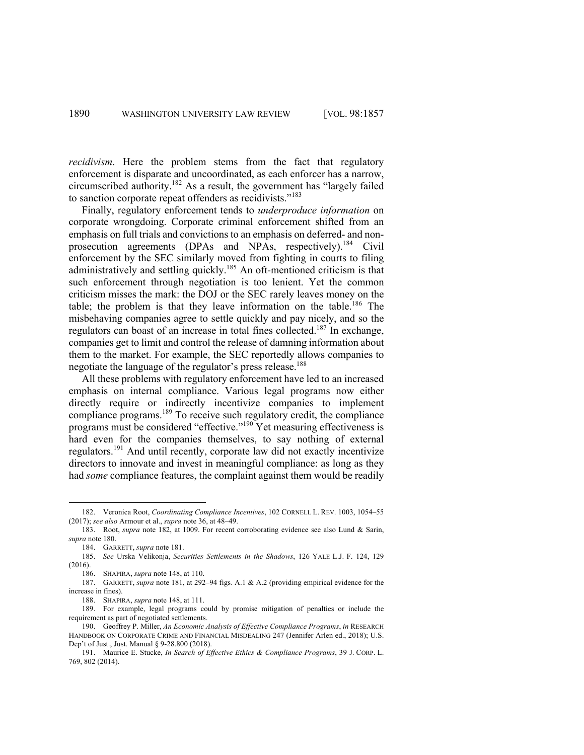*recidivism*. Here the problem stems from the fact that regulatory enforcement is disparate and uncoordinated, as each enforcer has a narrow, circumscribed authority.182 As a result, the government has "largely failed to sanction corporate repeat offenders as recidivists."<sup>183</sup>

Finally, regulatory enforcement tends to *underproduce information* on corporate wrongdoing. Corporate criminal enforcement shifted from an emphasis on full trials and convictions to an emphasis on deferred- and nonprosecution agreements (DPAs and NPAs, respectively).<sup>184</sup> Civil enforcement by the SEC similarly moved from fighting in courts to filing administratively and settling quickly.185 An oft-mentioned criticism is that such enforcement through negotiation is too lenient. Yet the common criticism misses the mark: the DOJ or the SEC rarely leaves money on the table; the problem is that they leave information on the table.<sup>186</sup> The misbehaving companies agree to settle quickly and pay nicely, and so the regulators can boast of an increase in total fines collected.187 In exchange, companies get to limit and control the release of damning information about them to the market. For example, the SEC reportedly allows companies to negotiate the language of the regulator's press release.<sup>188</sup>

All these problems with regulatory enforcement have led to an increased emphasis on internal compliance. Various legal programs now either directly require or indirectly incentivize companies to implement compliance programs.<sup>189</sup> To receive such regulatory credit, the compliance programs must be considered "effective."190 Yet measuring effectiveness is hard even for the companies themselves, to say nothing of external regulators.<sup>191</sup> And until recently, corporate law did not exactly incentivize directors to innovate and invest in meaningful compliance: as long as they had *some* compliance features, the complaint against them would be readily

<sup>182.</sup> Veronica Root, *Coordinating Compliance Incentives*, 102 CORNELL L. REV. 1003, 1054–55 (2017); *see also* Armour et al., *supra* note 36, at 48–49.

<sup>183.</sup> Root, *supra* note 182, at 1009. For recent corroborating evidence see also Lund & Sarin, *supra* note 180.

<sup>184.</sup> GARRETT, *supra* note 181.

<sup>185.</sup> *See* Urska Velikonja, *Securities Settlements in the Shadows*, 126 YALE L.J. F. 124, 129 (2016).

<sup>186.</sup> SHAPIRA, *supra* note 148, at 110.

<sup>187.</sup> GARRETT, *supra* note 181, at 292–94 figs. A.1 & A.2 (providing empirical evidence for the increase in fines).

<sup>188.</sup> SHAPIRA, *supra* note 148, at 111.

<sup>189.</sup> For example, legal programs could by promise mitigation of penalties or include the requirement as part of negotiated settlements.

<sup>190.</sup> Geoffrey P. Miller, *An Economic Analysis of Effective Compliance Programs*, *in* RESEARCH HANDBOOK ON CORPORATE CRIME AND FINANCIAL MISDEALING 247 (Jennifer Arlen ed., 2018); U.S. Dep't of Just., Just. Manual § 9-28.800 (2018).

<sup>191.</sup> Maurice E. Stucke, *In Search of Effective Ethics & Compliance Programs*, 39 J. CORP. L. 769, 802 (2014).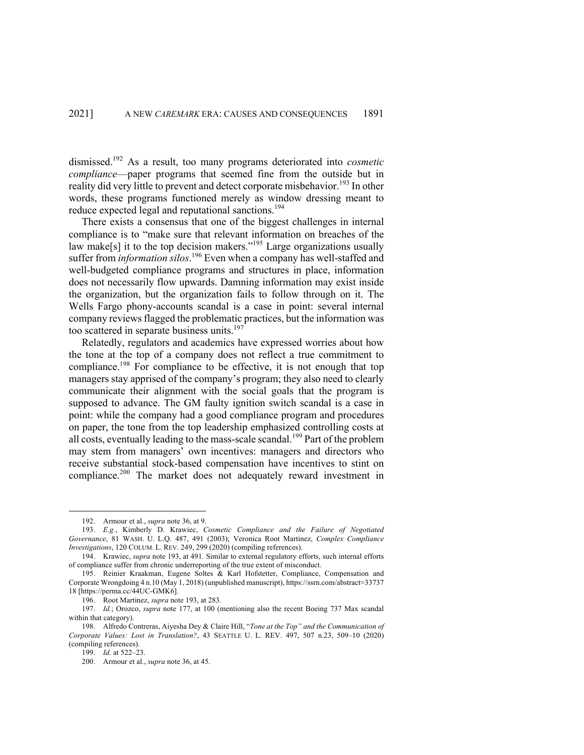dismissed.192 As a result, too many programs deteriorated into *cosmetic compliance*—paper programs that seemed fine from the outside but in reality did very little to prevent and detect corporate misbehavior.<sup>193</sup> In other words, these programs functioned merely as window dressing meant to reduce expected legal and reputational sanctions.<sup>194</sup>

There exists a consensus that one of the biggest challenges in internal compliance is to "make sure that relevant information on breaches of the law make[s] it to the top decision makers."<sup>195</sup> Large organizations usually suffer from *information silos*. <sup>196</sup> Even when a company has well-staffed and well-budgeted compliance programs and structures in place, information does not necessarily flow upwards. Damning information may exist inside the organization, but the organization fails to follow through on it. The Wells Fargo phony-accounts scandal is a case in point: several internal company reviews flagged the problematic practices, but the information was too scattered in separate business units. 197

Relatedly, regulators and academics have expressed worries about how the tone at the top of a company does not reflect a true commitment to compliance.<sup>198</sup> For compliance to be effective, it is not enough that top managers stay apprised of the company's program; they also need to clearly communicate their alignment with the social goals that the program is supposed to advance. The GM faulty ignition switch scandal is a case in point: while the company had a good compliance program and procedures on paper, the tone from the top leadership emphasized controlling costs at all costs, eventually leading to the mass-scale scandal.<sup>199</sup> Part of the problem may stem from managers' own incentives: managers and directors who receive substantial stock-based compensation have incentives to stint on compliance.<sup>200</sup> The market does not adequately reward investment in

<sup>192.</sup> Armour et al., *supra* note 36, at 9.

<sup>193.</sup> *E.g.*, Kimberly D. Krawiec, *Cosmetic Compliance and the Failure of Negotiated Governance*, 81 WASH. U. L.Q. 487, 491 (2003); Veronica Root Martinez, *Complex Compliance Investigations*, 120 COLUM. L. REV. 249, 299 (2020) (compiling references).

<sup>194.</sup> Krawiec, *supra* note 193, at 491. Similar to external regulatory efforts, such internal efforts of compliance suffer from chronic underreporting of the true extent of misconduct.

<sup>195.</sup> Reinier Kraakman, Eugene Soltes & Karl Hofstetter, Compliance, Compensation and Corporate Wrongdoing 4 n.10 (May 1, 2018) (unpublished manuscript), https://ssrn.com/abstract=33737 18 [https://perma.cc/44UC-GMK6].

<sup>196.</sup> Root Martinez, *supra* note 193, at 283.

<sup>197.</sup> *Id.*; Orozco, *supra* note 177, at 100 (mentioning also the recent Boeing 737 Max scandal within that category).

<sup>198.</sup> Alfredo Contreras, Aiyesha Dey & Claire Hill, "*Tone at the Top" and the Communication of Corporate Values: Lost in Translation?*, 43 SEATTLE U. L. REV. 497, 507 n.23, 509–10 (2020) (compiling references).

<sup>199.</sup> *Id.* at 522–23.

<sup>200.</sup> Armour et al., *supra* note 36, at 45.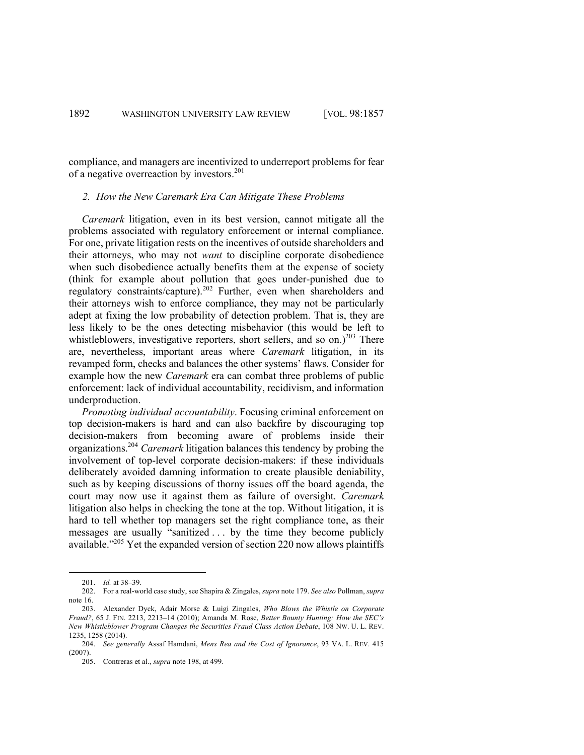compliance, and managers are incentivized to underreport problems for fear of a negative overreaction by investors.<sup>201</sup>

## *2. How the New Caremark Era Can Mitigate These Problems*

*Caremark* litigation, even in its best version, cannot mitigate all the problems associated with regulatory enforcement or internal compliance. For one, private litigation rests on the incentives of outside shareholders and their attorneys, who may not *want* to discipline corporate disobedience when such disobedience actually benefits them at the expense of society (think for example about pollution that goes under-punished due to regulatory constraints/capture).<sup>202</sup> Further, even when shareholders and their attorneys wish to enforce compliance, they may not be particularly adept at fixing the low probability of detection problem. That is, they are less likely to be the ones detecting misbehavior (this would be left to whistleblowers, investigative reporters, short sellers, and so on.)<sup>203</sup> There are, nevertheless, important areas where *Caremark* litigation, in its revamped form, checks and balances the other systems' flaws. Consider for example how the new *Caremark* era can combat three problems of public enforcement: lack of individual accountability, recidivism, and information underproduction.

*Promoting individual accountability*. Focusing criminal enforcement on top decision-makers is hard and can also backfire by discouraging top decision-makers from becoming aware of problems inside their organizations.204 *Caremark* litigation balances this tendency by probing the involvement of top-level corporate decision-makers: if these individuals deliberately avoided damning information to create plausible deniability, such as by keeping discussions of thorny issues off the board agenda, the court may now use it against them as failure of oversight. *Caremark* litigation also helps in checking the tone at the top. Without litigation, it is hard to tell whether top managers set the right compliance tone, as their messages are usually "sanitized . . . by the time they become publicly available."<sup>205</sup> Yet the expanded version of section 220 now allows plaintiffs

<sup>201.</sup> *Id.* at 38–39.

<sup>202.</sup> For a real-world case study, see Shapira & Zingales, *supra* note 179. *See also* Pollman, *supra* note 16.

<sup>203.</sup> Alexander Dyck, Adair Morse & Luigi Zingales, *Who Blows the Whistle on Corporate Fraud?*, 65 J. FIN. 2213, 2213–14 (2010); Amanda M. Rose, *Better Bounty Hunting: How the SEC's New Whistleblower Program Changes the Securities Fraud Class Action Debate*, 108 NW. U. L. REV. 1235, 1258 (2014).

<sup>204.</sup> *See generally* Assaf Hamdani, *Mens Rea and the Cost of Ignorance*, 93 VA. L. REV. 415 (2007).

<sup>205.</sup> Contreras et al., *supra* note 198, at 499.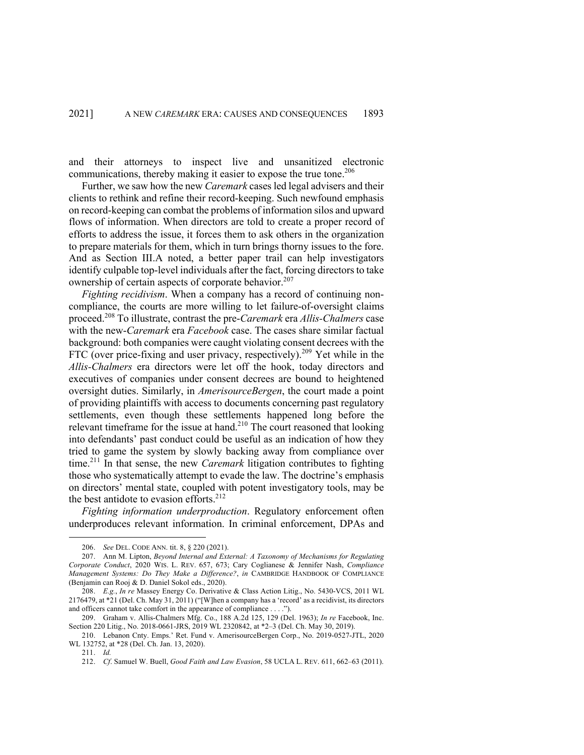and their attorneys to inspect live and unsanitized electronic communications, thereby making it easier to expose the true tone.<sup>206</sup>

Further, we saw how the new *Caremark* cases led legal advisers and their clients to rethink and refine their record-keeping. Such newfound emphasis on record-keeping can combat the problems of information silos and upward flows of information. When directors are told to create a proper record of efforts to address the issue, it forces them to ask others in the organization to prepare materials for them, which in turn brings thorny issues to the fore. And as Section III.A noted, a better paper trail can help investigators identify culpable top-level individuals after the fact, forcing directors to take ownership of certain aspects of corporate behavior.<sup>207</sup>

*Fighting recidivism*. When a company has a record of continuing noncompliance, the courts are more willing to let failure-of-oversight claims proceed.<sup>208</sup> To illustrate, contrast the pre-*Caremark* era *Allis-Chalmers* case with the new-*Caremark* era *Facebook* case. The cases share similar factual background: both companies were caught violating consent decrees with the FTC (over price-fixing and user privacy, respectively).<sup>209</sup> Yet while in the *Allis-Chalmers* era directors were let off the hook, today directors and executives of companies under consent decrees are bound to heightened oversight duties. Similarly, in *AmerisourceBergen*, the court made a point of providing plaintiffs with access to documents concerning past regulatory settlements, even though these settlements happened long before the relevant timeframe for the issue at hand.<sup>210</sup> The court reasoned that looking into defendants' past conduct could be useful as an indication of how they tried to game the system by slowly backing away from compliance over time.<sup>211</sup> In that sense, the new *Caremark* litigation contributes to fighting those who systematically attempt to evade the law. The doctrine's emphasis on directors' mental state, coupled with potent investigatory tools, may be the best antidote to evasion efforts.<sup>212</sup>

*Fighting information underproduction*. Regulatory enforcement often underproduces relevant information. In criminal enforcement, DPAs and

<sup>206.</sup> *See* DEL. CODE ANN. tit. 8, § 220 (2021).

<sup>207.</sup> Ann M. Lipton, *Beyond Internal and External: A Taxonomy of Mechanisms for Regulating Corporate Conduct*, 2020 WIS. L. REV. 657, 673; Cary Coglianese & Jennifer Nash, *Compliance Management Systems: Do They Make a Difference?*, *in* CAMBRIDGE HANDBOOK OF COMPLIANCE (Benjamin can Rooj & D. Daniel Sokol eds., 2020).

<sup>208.</sup> *E.g.*, *In re* Massey Energy Co. Derivative & Class Action Litig., No. 5430-VCS, 2011 WL 2176479, at \*21 (Del. Ch. May 31, 2011) ("[W]hen a company has a 'record' as a recidivist, its directors and officers cannot take comfort in the appearance of compliance . . . .").

<sup>209.</sup> Graham v. Allis-Chalmers Mfg. Co., 188 A.2d 125, 129 (Del. 1963); *In re* Facebook, Inc. Section 220 Litig., No. 2018-0661-JRS, 2019 WL 2320842, at \*2–3 (Del. Ch. May 30, 2019).

<sup>210.</sup> Lebanon Cnty. Emps.' Ret. Fund v. AmerisourceBergen Corp., No. 2019-0527-JTL, 2020 WL 132752, at \*28 (Del. Ch. Jan. 13, 2020).

<sup>211.</sup> *Id.*

<sup>212.</sup> *Cf*. Samuel W. Buell, *Good Faith and Law Evasion*, 58 UCLA L. REV. 611, 662–63 (2011).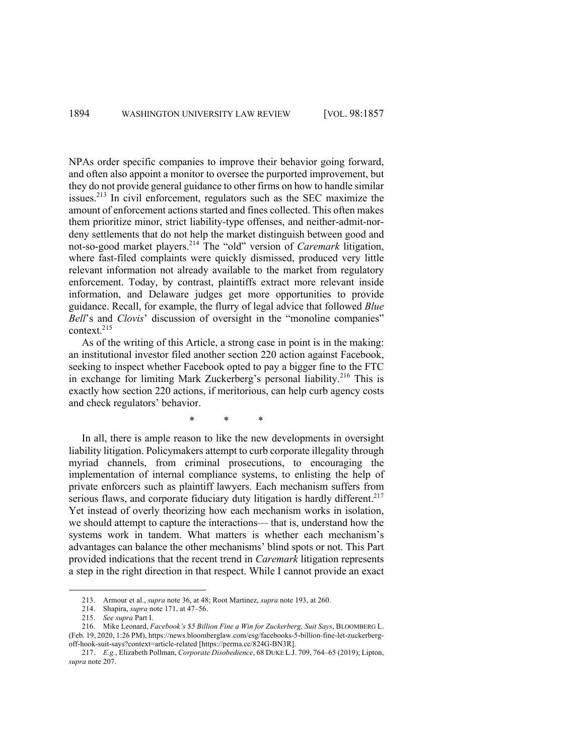NPAs order specific companies to improve their behavior going forward, and often also appoint a monitor to oversee the purported improvement, but they do not provide general guidance to other firms on how to handle similar issues.<sup>213</sup> In civil enforcement, regulators such as the SEC maximize the amount of enforcement actions started and fines collected. This often makes them prioritize minor, strict liability-type offenses, and neither-admit-nordeny settlements that do not help the market distinguish between good and not-so-good market players.<sup>214</sup> The "old" version of *Caremark* litigation, where fast-filed complaints were quickly dismissed, produced very little relevant information not already available to the market from regulatory enforcement. Today, by contrast, plaintiffs extract more relevant inside information, and Delaware judges get more opportunities to provide guidance. Recall, for example, the flurry of legal advice that followed *Blue Bell*'s and *Clovis*' discussion of oversight in the "monoline companies" context. 215

As of the writing of this Article, a strong case in point is in the making: an institutional investor filed another section 220 action against Facebook, seeking to inspect whether Facebook opted to pay a bigger fine to the FTC in exchange for limiting Mark Zuckerberg's personal liability.<sup>216</sup> This is exactly how section 220 actions, if meritorious, can help curb agency costs and check regulators' behavior.

\* \* \*

In all, there is ample reason to like the new developments in oversight liability litigation. Policymakers attempt to curb corporate illegality through myriad channels, from criminal prosecutions, to encouraging the implementation of internal compliance systems, to enlisting the help of private enforcers such as plaintiff lawyers. Each mechanism suffers from serious flaws, and corporate fiduciary duty litigation is hardly different.<sup>217</sup> Yet instead of overly theorizing how each mechanism works in isolation, we should attempt to capture the interactions— that is, understand how the systems work in tandem. What matters is whether each mechanism's advantages can balance the other mechanisms' blind spots or not. This Part provided indications that the recent trend in *Caremark* litigation represents a step in the right direction in that respect. While I cannot provide an exact

<sup>213.</sup> Armour et al., *supra* note 36, at 48; Root Martinez, *supra* note 193, at 260.

<sup>214.</sup> Shapira, *supra* note 171, at 47–56.

<sup>215.</sup> *See supra* Part I.

<sup>216.</sup> Mike Leonard, *Facebook's \$5 Billion Fine a Win for Zuckerberg, Suit Says*, BLOOMBERG L. (Feb. 19, 2020, 1:26 PM), https://news.bloomberglaw.com/esg/facebooks-5-billion-fine-let-zuckerbergoff-hook-suit-says?context=article-related [https://perma.cc/824G-BN3R].

<sup>217.</sup> *E.g.*, Elizabeth Pollman, *Corporate Disobedience*, 68 DUKE L.J. 709, 764–65 (2019); Lipton, *supra* note 207.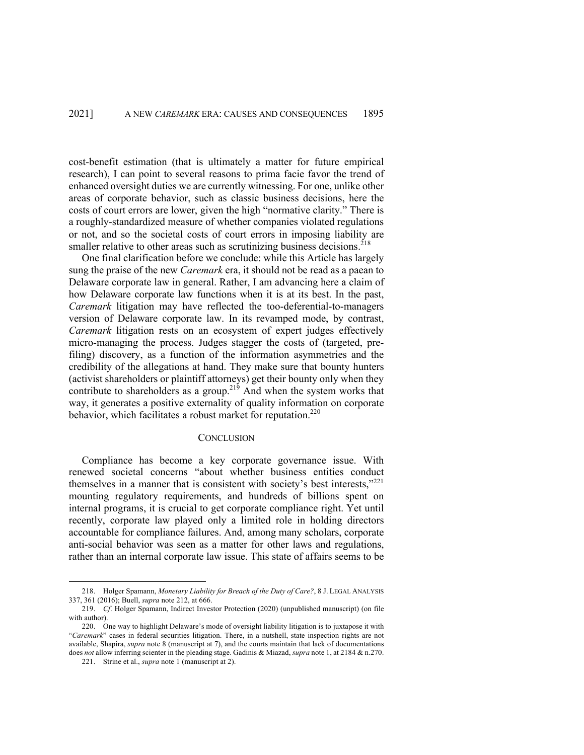cost-benefit estimation (that is ultimately a matter for future empirical research), I can point to several reasons to prima facie favor the trend of enhanced oversight duties we are currently witnessing. For one, unlike other areas of corporate behavior, such as classic business decisions, here the costs of court errors are lower, given the high "normative clarity." There is a roughly-standardized measure of whether companies violated regulations or not, and so the societal costs of court errors in imposing liability are smaller relative to other areas such as scrutinizing business decisions.<sup>218</sup>

One final clarification before we conclude: while this Article has largely sung the praise of the new *Caremark* era, it should not be read as a paean to Delaware corporate law in general. Rather, I am advancing here a claim of how Delaware corporate law functions when it is at its best. In the past, *Caremark* litigation may have reflected the too-deferential-to-managers version of Delaware corporate law. In its revamped mode, by contrast, *Caremark* litigation rests on an ecosystem of expert judges effectively micro-managing the process. Judges stagger the costs of (targeted, prefiling) discovery, as a function of the information asymmetries and the credibility of the allegations at hand. They make sure that bounty hunters (activist shareholders or plaintiff attorneys) get their bounty only when they contribute to shareholders as a group.<sup>219</sup> And when the system works that way, it generates a positive externality of quality information on corporate behavior, which facilitates a robust market for reputation.<sup>220</sup>

#### **CONCLUSION**

Compliance has become a key corporate governance issue. With renewed societal concerns "about whether business entities conduct themselves in a manner that is consistent with society's best interests,"<sup>221</sup> mounting regulatory requirements, and hundreds of billions spent on internal programs, it is crucial to get corporate compliance right. Yet until recently, corporate law played only a limited role in holding directors accountable for compliance failures. And, among many scholars, corporate anti-social behavior was seen as a matter for other laws and regulations, rather than an internal corporate law issue. This state of affairs seems to be

<sup>218.</sup> Holger Spamann, *Monetary Liability for Breach of the Duty of Care?*, 8 J. LEGAL ANALYSIS 337, 361 (2016); Buell, *supra* note 212, at 666.

<sup>219.</sup> *Cf*. Holger Spamann, Indirect Investor Protection (2020) (unpublished manuscript) (on file with author).

<sup>220.</sup> One way to highlight Delaware's mode of oversight liability litigation is to juxtapose it with "*Caremark*" cases in federal securities litigation. There, in a nutshell, state inspection rights are not available, Shapira, *supra* note 8 (manuscript at 7), and the courts maintain that lack of documentations does *not* allow inferring scienter in the pleading stage. Gadinis & Miazad, *supra* note 1, at 2184 & n.270.

<sup>221.</sup> Strine et al., *supra* note 1 (manuscript at 2).